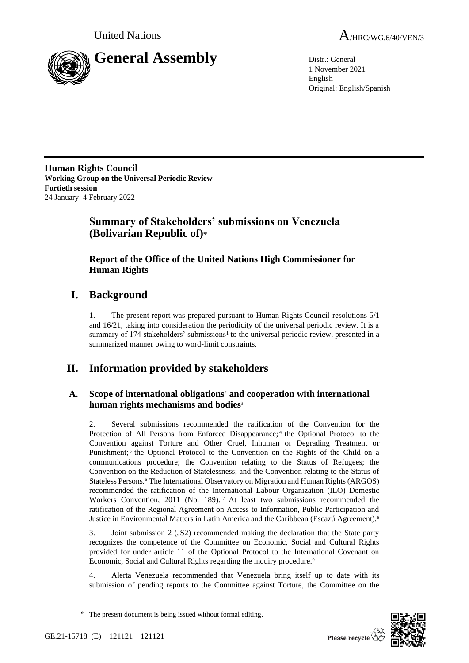



1 November 2021 English Original: English/Spanish

**Human Rights Council Working Group on the Universal Periodic Review Fortieth session** 24 January–4 February 2022

# **Summary of Stakeholders' submissions on Venezuela (Bolivarian Republic of)**\*

# **Report of the Office of the United Nations High Commissioner for Human Rights**

# **I. Background**

1. The present report was prepared pursuant to Human Rights Council resolutions 5/1 and 16/21, taking into consideration the periodicity of the universal periodic review. It is a summary of 174 stakeholders' submissions<sup>1</sup> to the universal periodic review, presented in a summarized manner owing to word-limit constraints.

# **II. Information provided by stakeholders**

## **A. Scope of international obligations**<sup>2</sup> **and cooperation with international human rights mechanisms and bodies**<sup>3</sup>

2. Several submissions recommended the ratification of the Convention for the Protection of All Persons from Enforced Disappearance;<sup>4</sup> the Optional Protocol to the Convention against Torture and Other Cruel, Inhuman or Degrading Treatment or Punishment;<sup>5</sup> the Optional Protocol to the Convention on the Rights of the Child on a communications procedure; the Convention relating to the Status of Refugees; the Convention on the Reduction of Statelessness; and the Convention relating to the Status of Stateless Persons.<sup>6</sup> The International Observatory on Migration and Human Rights (ARGOS) recommended the ratification of the International Labour Organization (ILO) Domestic Workers Convention, 2011 (No. 189).<sup>7</sup> At least two submissions recommended the ratification of the Regional Agreement on Access to Information, Public Participation and Justice in Environmental Matters in Latin America and the Caribbean (Escazú Agreement).<sup>8</sup>

3. Joint submission 2 (JS2) recommended making the declaration that the State party recognizes the competence of the Committee on Economic, Social and Cultural Rights provided for under article 11 of the Optional Protocol to the International Covenant on Economic, Social and Cultural Rights regarding the inquiry procedure.<sup>9</sup>

4. Alerta Venezuela recommended that Venezuela bring itself up to date with its submission of pending reports to the Committee against Torture, the Committee on the



<sup>\*</sup> The present document is being issued without formal editing.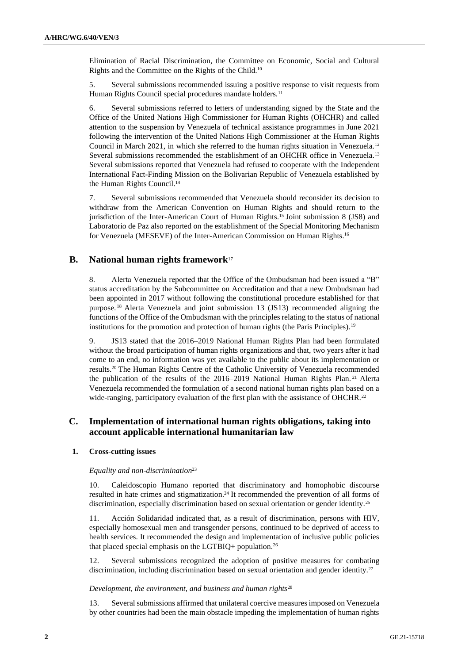Elimination of Racial Discrimination, the Committee on Economic, Social and Cultural Rights and the Committee on the Rights of the Child.<sup>10</sup>

5. Several submissions recommended issuing a positive response to visit requests from Human Rights Council special procedures mandate holders.<sup>11</sup>

6. Several submissions referred to letters of understanding signed by the State and the Office of the United Nations High Commissioner for Human Rights (OHCHR) and called attention to the suspension by Venezuela of technical assistance programmes in June 2021 following the intervention of the United Nations High Commissioner at the Human Rights Council in March 2021, in which she referred to the human rights situation in Venezuela.<sup>12</sup> Several submissions recommended the establishment of an OHCHR office in Venezuela.<sup>13</sup> Several submissions reported that Venezuela had refused to cooperate with the Independent International Fact-Finding Mission on the Bolivarian Republic of Venezuela established by the Human Rights Council.<sup>14</sup>

7. Several submissions recommended that Venezuela should reconsider its decision to withdraw from the American Convention on Human Rights and should return to the jurisdiction of the Inter-American Court of Human Rights.<sup>15</sup> Joint submission 8 (JS8) and Laboratorio de Paz also reported on the establishment of the Special Monitoring Mechanism for Venezuela (MESEVE) of the Inter-American Commission on Human Rights.<sup>16</sup>

## **B. National human rights framework**<sup>17</sup>

8. Alerta Venezuela reported that the Office of the Ombudsman had been issued a "B" status accreditation by the Subcommittee on Accreditation and that a new Ombudsman had been appointed in 2017 without following the constitutional procedure established for that purpose. <sup>18</sup> Alerta Venezuela and joint submission 13 (JS13) recommended aligning the functions of the Office of the Ombudsman with the principles relating to the status of national institutions for the promotion and protection of human rights (the Paris Principles).<sup>19</sup>

9. JS13 stated that the 2016–2019 National Human Rights Plan had been formulated without the broad participation of human rights organizations and that, two years after it had come to an end, no information was yet available to the public about its implementation or results.<sup>20</sup> The Human Rights Centre of the Catholic University of Venezuela recommended the publication of the results of the 2016–2019 National Human Rights Plan. <sup>21</sup> Alerta Venezuela recommended the formulation of a second national human rights plan based on a wide-ranging, participatory evaluation of the first plan with the assistance of OHCHR.<sup>22</sup>

### **C. Implementation of international human rights obligations, taking into account applicable international humanitarian law**

#### **1. Cross-cutting issues**

#### *Equality and non-discrimination*<sup>23</sup>

10. Caleidoscopio Humano reported that discriminatory and homophobic discourse resulted in hate crimes and stigmatization.<sup>24</sup> It recommended the prevention of all forms of discrimination, especially discrimination based on sexual orientation or gender identity.<sup>25</sup>

11. Acción Solidaridad indicated that, as a result of discrimination, persons with HIV, especially homosexual men and transgender persons, continued to be deprived of access to health services. It recommended the design and implementation of inclusive public policies that placed special emphasis on the LGTBIQ+ population.<sup>26</sup>

12. Several submissions recognized the adoption of positive measures for combating discrimination, including discrimination based on sexual orientation and gender identity.<sup>27</sup>

#### *Development, the environment, and business and human rights*<sup>28</sup>

13. Several submissions affirmed that unilateral coercive measures imposed on Venezuela by other countries had been the main obstacle impeding the implementation of human rights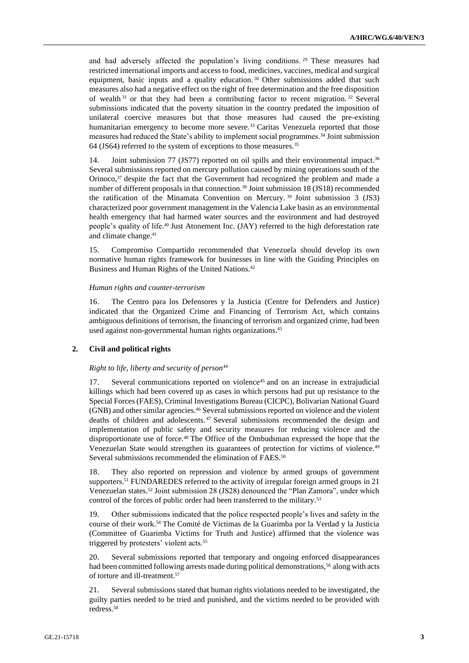and had adversely affected the population's living conditions. <sup>29</sup> These measures had restricted international imports and access to food, medicines, vaccines, medical and surgical equipment, basic inputs and a quality education. <sup>30</sup> Other submissions added that such measures also had a negative effect on the right of free determination and the free disposition of wealth<sup>31</sup> or that they had been a contributing factor to recent migration.<sup>32</sup> Several submissions indicated that the poverty situation in the country predated the imposition of unilateral coercive measures but that those measures had caused the pre-existing humanitarian emergency to become more severe.<sup>33</sup> Caritas Venezuela reported that those measures had reduced the State's ability to implement social programmes.<sup>34</sup> Joint submission 64 (JS64) referred to the system of exceptions to those measures.<sup>35</sup>

14. Joint submission 77 (JS77) reported on oil spills and their environmental impact.<sup>36</sup> Several submissions reported on mercury pollution caused by mining operations south of the Orinoco,<sup>37</sup> despite the fact that the Government had recognized the problem and made a number of different proposals in that connection.<sup>38</sup> Joint submission 18 (JS18) recommended the ratification of the Minamata Convention on Mercury. <sup>39</sup> Joint submission 3 (JS3) characterized poor government management in the Valencia Lake basin as an environmental health emergency that had harmed water sources and the environment and had destroyed people's quality of life.<sup>40</sup> Just Atonement Inc. (JAY) referred to the high deforestation rate and climate change.<sup>41</sup>

15. Compromiso Compartido recommended that Venezuela should develop its own normative human rights framework for businesses in line with the Guiding Principles on Business and Human Rights of the United Nations.<sup>42</sup>

#### *Human rights and counter-terrorism*

16. The Centro para los Defensores y la Justicia (Centre for Defenders and Justice) indicated that the Organized Crime and Financing of Terrorism Act, which contains ambiguous definitions of terrorism, the financing of terrorism and organized crime, had been used against non-governmental human rights organizations.<sup>43</sup>

### **2. Civil and political rights**

#### *Right to life, liberty and security of person*<sup>44</sup>

Several communications reported on violence<sup>45</sup> and on an increase in extrajudicial killings which had been covered up as cases in which persons had put up resistance to the Special Forces (FAES), Criminal Investigations Bureau (CICPC), Bolivarian National Guard (GNB) and other similar agencies.<sup>46</sup> Several submissions reported on violence and the violent deaths of children and adolescents. <sup>47</sup> Several submissions recommended the design and implementation of public safety and security measures for reducing violence and the disproportionate use of force.<sup>48</sup> The Office of the Ombudsman expressed the hope that the Venezuelan State would strengthen its guarantees of protection for victims of violence.<sup>49</sup> Several submissions recommended the elimination of FAES.<sup>50</sup>

18. They also reported on repression and violence by armed groups of government supporters.<sup>51</sup> FUNDAREDES referred to the activity of irregular foreign armed groups in 21 Venezuelan states.<sup>52</sup> Joint submission 28 (JS28) denounced the "Plan Zamora", under which control of the forces of public order had been transferred to the military.<sup>53</sup>

19. Other submissions indicated that the police respected people's lives and safety in the course of their work.<sup>54</sup> The Comité de Victimas de la Guarimba por la Verdad y la Justicia (Committee of Guarimba Victims for Truth and Justice) affirmed that the violence was triggered by protesters' violent acts.<sup>55</sup>

20. Several submissions reported that temporary and ongoing enforced disappearances had been committed following arrests made during political demonstrations,<sup>56</sup> along with acts of torture and ill-treatment.<sup>57</sup>

Several submissions stated that human rights violations needed to be investigated, the guilty parties needed to be tried and punished, and the victims needed to be provided with redress.58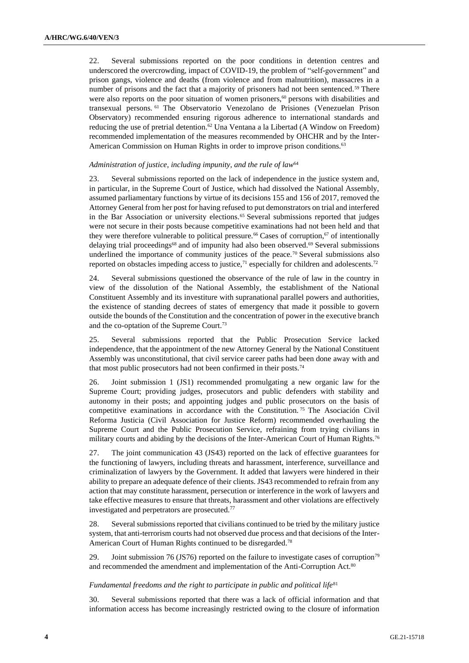22. Several submissions reported on the poor conditions in detention centres and underscored the overcrowding, impact of COVID-19, the problem of "self-government" and prison gangs, violence and deaths (from violence and from malnutrition), massacres in a number of prisons and the fact that a majority of prisoners had not been sentenced.<sup>59</sup> There were also reports on the poor situation of women prisoners,<sup>60</sup> persons with disabilities and transexual persons. <sup>61</sup> The Observatorio Venezolano de Prisiones (Venezuelan Prison Observatory) recommended ensuring rigorous adherence to international standards and reducing the use of pretrial detention.<sup>62</sup> Una Ventana a la Libertad (A Window on Freedom) recommended implementation of the measures recommended by OHCHR and by the Inter-American Commission on Human Rights in order to improve prison conditions.<sup>63</sup>

#### *Administration of justice, including impunity, and the rule of law*<sup>64</sup>

23. Several submissions reported on the lack of independence in the justice system and, in particular, in the Supreme Court of Justice, which had dissolved the National Assembly, assumed parliamentary functions by virtue of its decisions 155 and 156 of 2017, removed the Attorney General from her post for having refused to put demonstrators on trial and interfered in the Bar Association or university elections.<sup>65</sup> Several submissions reported that judges were not secure in their posts because competitive examinations had not been held and that they were therefore vulnerable to political pressure.<sup>66</sup> Cases of corruption,<sup>67</sup> of intentionally delaying trial proceedings<sup>68</sup> and of impunity had also been observed.<sup>69</sup> Several submissions underlined the importance of community justices of the peace.<sup>70</sup> Several submissions also reported on obstacles impeding access to justice, $71$  especially for children and adolescents. $72$ 

24. Several submissions questioned the observance of the rule of law in the country in view of the dissolution of the National Assembly, the establishment of the National Constituent Assembly and its investiture with supranational parallel powers and authorities, the existence of standing decrees of states of emergency that made it possible to govern outside the bounds of the Constitution and the concentration of power in the executive branch and the co-optation of the Supreme Court.<sup>73</sup>

25. Several submissions reported that the Public Prosecution Service lacked independence, that the appointment of the new Attorney General by the National Constituent Assembly was unconstitutional, that civil service career paths had been done away with and that most public prosecutors had not been confirmed in their posts.<sup>74</sup>

26. Joint submission 1 (JS1) recommended promulgating a new organic law for the Supreme Court; providing judges, prosecutors and public defenders with stability and autonomy in their posts; and appointing judges and public prosecutors on the basis of competitive examinations in accordance with the Constitution. <sup>75</sup> The Asociación Civil Reforma Justicia (Civil Association for Justice Reform) recommended overhauling the Supreme Court and the Public Prosecution Service, refraining from trying civilians in military courts and abiding by the decisions of the Inter-American Court of Human Rights.<sup>76</sup>

27. The joint communication 43 (JS43) reported on the lack of effective guarantees for the functioning of lawyers, including threats and harassment, interference, surveillance and criminalization of lawyers by the Government. It added that lawyers were hindered in their ability to prepare an adequate defence of their clients. JS43 recommended to refrain from any action that may constitute harassment, persecution or interference in the work of lawyers and take effective measures to ensure that threats, harassment and other violations are effectively investigated and perpetrators are prosecuted.<sup>77</sup>

28. Several submissions reported that civilians continued to be tried by the military justice system, that anti-terrorism courts had not observed due process and that decisions of the Inter-American Court of Human Rights continued to be disregarded.<sup>78</sup>

29. Joint submission 76 (JS76) reported on the failure to investigate cases of corruption<sup>79</sup> and recommended the amendment and implementation of the Anti-Corruption Act.<sup>80</sup>

#### *Fundamental freedoms and the right to participate in public and political life*<sup>81</sup>

30. Several submissions reported that there was a lack of official information and that information access has become increasingly restricted owing to the closure of information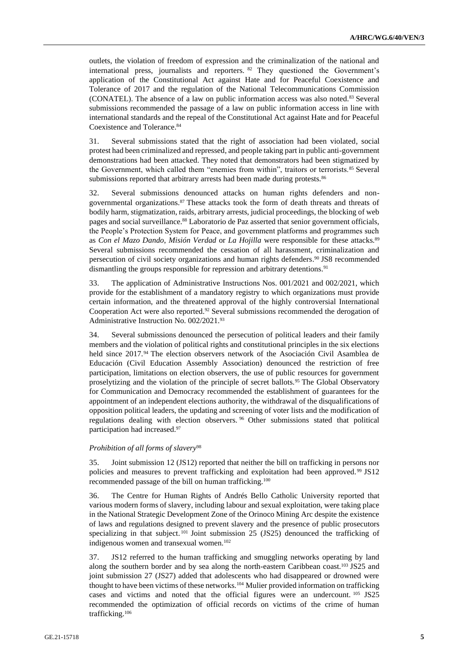outlets, the violation of freedom of expression and the criminalization of the national and international press, journalists and reporters. <sup>82</sup> They questioned the Government's application of the Constitutional Act against Hate and for Peaceful Coexistence and Tolerance of 2017 and the regulation of the National Telecommunications Commission (CONATEL). The absence of a law on public information access was also noted.<sup>83</sup> Several submissions recommended the passage of a law on public information access in line with international standards and the repeal of the Constitutional Act against Hate and for Peaceful Coexistence and Tolerance.<sup>84</sup>

31. Several submissions stated that the right of association had been violated, social protest had been criminalized and repressed, and people taking part in public anti-government demonstrations had been attacked. They noted that demonstrators had been stigmatized by the Government, which called them "enemies from within", traitors or terrorists.<sup>85</sup> Several submissions reported that arbitrary arrests had been made during protests.<sup>86</sup>

32. Several submissions denounced attacks on human rights defenders and nongovernmental organizations.<sup>87</sup> These attacks took the form of death threats and threats of bodily harm, stigmatization, raids, arbitrary arrests, judicial proceedings, the blocking of web pages and social surveillance.<sup>88</sup> Laboratorio de Paz asserted that senior government officials, the People's Protection System for Peace, and government platforms and programmes such as *Con el Mazo Dando*, *Misión Verdad* or *La Hojilla* were responsible for these attacks*.* 89 Several submissions recommended the cessation of all harassment, criminalization and persecution of civil society organizations and human rights defenders. <sup>90</sup> JS8 recommended dismantling the groups responsible for repression and arbitrary detentions.<sup>91</sup>

33. The application of Administrative Instructions Nos. 001/2021 and 002/2021, which provide for the establishment of a mandatory registry to which organizations must provide certain information, and the threatened approval of the highly controversial International Cooperation Act were also reported.<sup>92</sup> Several submissions recommended the derogation of Administrative Instruction No. 002/2021.<sup>93</sup>

34. Several submissions denounced the persecution of political leaders and their family members and the violation of political rights and constitutional principles in the six elections held since 2017.<sup>94</sup> The election observers network of the Asociación Civil Asamblea de Educación (Civil Education Assembly Association) denounced the restriction of free participation, limitations on election observers, the use of public resources for government proselytizing and the violation of the principle of secret ballots.<sup>95</sup> The Global Observatory for Communication and Democracy recommended the establishment of guarantees for the appointment of an independent elections authority, the withdrawal of the disqualifications of opposition political leaders, the updating and screening of voter lists and the modification of regulations dealing with election observers. <sup>96</sup> Other submissions stated that political participation had increased.<sup>97</sup>

#### *Prohibition of all forms of slavery*<sup>98</sup>

35. Joint submission 12 (JS12) reported that neither the bill on trafficking in persons nor policies and measures to prevent trafficking and exploitation had been approved. <sup>99</sup> JS12 recommended passage of the bill on human trafficking.<sup>100</sup>

36. The Centre for Human Rights of Andrés Bello Catholic University reported that various modern forms of slavery, including labour and sexual exploitation, were taking place in the National Strategic Development Zone of the Orinoco Mining Arc despite the existence of laws and regulations designed to prevent slavery and the presence of public prosecutors specializing in that subject.<sup>101</sup> Joint submission 25 (JS25) denounced the trafficking of indigenous women and transexual women.<sup>102</sup>

37. JS12 referred to the human trafficking and smuggling networks operating by land along the southern border and by sea along the north-eastern Caribbean coast.<sup>103</sup> JS25 and joint submission 27 (JS27) added that adolescents who had disappeared or drowned were thought to have been victims of these networks.<sup>104</sup> Mulier provided information on trafficking cases and victims and noted that the official figures were an undercount. <sup>105</sup> JS25 recommended the optimization of official records on victims of the crime of human trafficking.106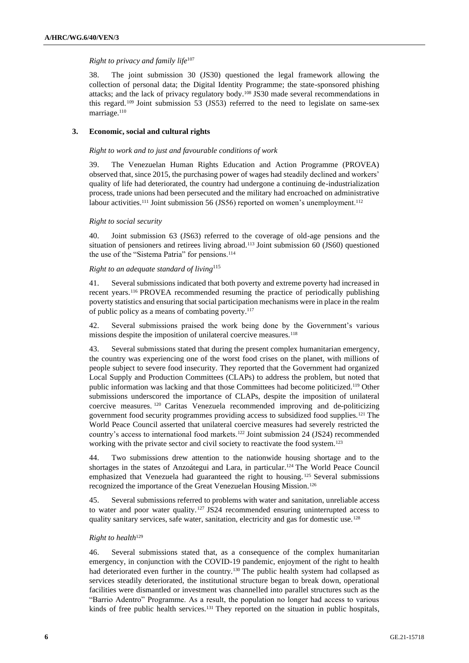#### *Right to privacy and family life*<sup>107</sup>

38. The joint submission 30 (JS30) questioned the legal framework allowing the collection of personal data; the Digital Identity Programme; the state-sponsored phishing attacks; and the lack of privacy regulatory body.<sup>108</sup> JS30 made several recommendations in this regard.  $109$  Joint submission 53 (JS53) referred to the need to legislate on same-sex marriage.<sup>110</sup>

### **3. Economic, social and cultural rights**

#### *Right to work and to just and favourable conditions of work*

39. The Venezuelan Human Rights Education and Action Programme (PROVEA) observed that, since 2015, the purchasing power of wages had steadily declined and workers' quality of life had deteriorated, the country had undergone a continuing de-industrialization process, trade unions had been persecuted and the military had encroached on administrative labour activities.<sup>111</sup> Joint submission 56 (JS56) reported on women's unemployment.<sup>112</sup>

#### *Right to social security*

40. Joint submission 63 (JS63) referred to the coverage of old-age pensions and the situation of pensioners and retirees living abroad.<sup>113</sup> Joint submission 60 (JS60) questioned the use of the "Sistema Patria" for pensions.<sup>114</sup>

#### *Right to an adequate standard of living*<sup>115</sup>

41. Several submissions indicated that both poverty and extreme poverty had increased in recent years.<sup>116</sup> PROVEA recommended resuming the practice of periodically publishing poverty statistics and ensuring that social participation mechanisms were in place in the realm of public policy as a means of combating poverty.<sup>117</sup>

42. Several submissions praised the work being done by the Government's various missions despite the imposition of unilateral coercive measures.<sup>118</sup>

43. Several submissions stated that during the present complex humanitarian emergency, the country was experiencing one of the worst food crises on the planet, with millions of people subject to severe food insecurity. They reported that the Government had organized Local Supply and Production Committees (CLAPs) to address the problem, but noted that public information was lacking and that those Committees had become politicized.<sup>119</sup> Other submissions underscored the importance of CLAPs, despite the imposition of unilateral coercive measures. <sup>120</sup> Caritas Venezuela recommended improving and de-politicizing government food security programmes providing access to subsidized food supplies.<sup>121</sup> The World Peace Council asserted that unilateral coercive measures had severely restricted the country's access to international food markets.<sup>122</sup> Joint submission 24 (JS24) recommended working with the private sector and civil society to reactivate the food system.<sup>123</sup>

44. Two submissions drew attention to the nationwide housing shortage and to the shortages in the states of Anzoátegui and Lara, in particular.<sup>124</sup> The World Peace Council emphasized that Venezuela had guaranteed the right to housing. <sup>125</sup> Several submissions recognized the importance of the Great Venezuelan Housing Mission.<sup>126</sup>

45. Several submissions referred to problems with water and sanitation, unreliable access to water and poor water quality. <sup>127</sup> JS24 recommended ensuring uninterrupted access to quality sanitary services, safe water, sanitation, electricity and gas for domestic use.<sup>128</sup>

### *Right to health*<sup>129</sup>

46. Several submissions stated that, as a consequence of the complex humanitarian emergency, in conjunction with the COVID-19 pandemic, enjoyment of the right to health had deteriorated even further in the country.<sup>130</sup> The public health system had collapsed as services steadily deteriorated, the institutional structure began to break down, operational facilities were dismantled or investment was channelled into parallel structures such as the "Barrio Adentro" Programme. As a result, the population no longer had access to various kinds of free public health services.<sup>131</sup> They reported on the situation in public hospitals,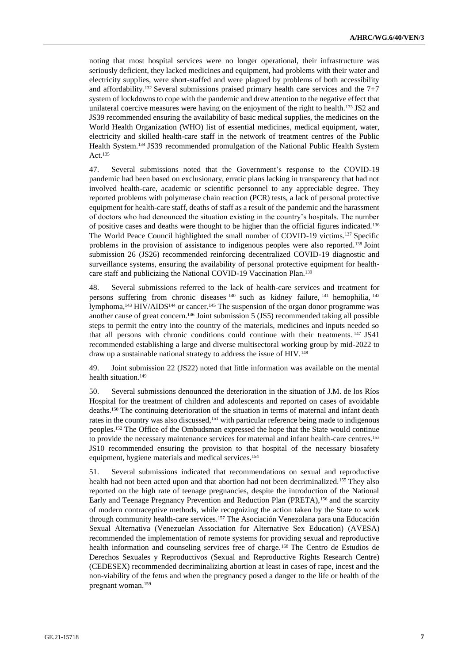noting that most hospital services were no longer operational, their infrastructure was seriously deficient, they lacked medicines and equipment, had problems with their water and electricity supplies, were short-staffed and were plagued by problems of both accessibility and affordability.<sup>132</sup> Several submissions praised primary health care services and the  $7+7$ system of lockdowns to cope with the pandemic and drew attention to the negative effect that unilateral coercive measures were having on the enjoyment of the right to health.<sup>133</sup> JS2 and JS39 recommended ensuring the availability of basic medical supplies, the medicines on the World Health Organization (WHO) list of essential medicines, medical equipment, water, electricity and skilled health-care staff in the network of treatment centres of the Public Health System.<sup>134</sup> JS39 recommended promulgation of the National Public Health System Act.<sup>135</sup>

47. Several submissions noted that the Government's response to the COVID-19 pandemic had been based on exclusionary, erratic plans lacking in transparency that had not involved health-care, academic or scientific personnel to any appreciable degree. They reported problems with polymerase chain reaction (PCR) tests, a lack of personal protective equipment for health-care staff, deaths of staff as a result of the pandemic and the harassment of doctors who had denounced the situation existing in the country's hospitals. The number of positive cases and deaths were thought to be higher than the official figures indicated.<sup>136</sup> The World Peace Council highlighted the small number of COVID-19 victims.<sup>137</sup> Specific problems in the provision of assistance to indigenous peoples were also reported.<sup>138</sup> Joint submission 26 (JS26) recommended reinforcing decentralized COVID-19 diagnostic and surveillance systems, ensuring the availability of personal protective equipment for healthcare staff and publicizing the National COVID-19 Vaccination Plan.<sup>139</sup>

48. Several submissions referred to the lack of health-care services and treatment for persons suffering from chronic diseases <sup>140</sup> such as kidney failure, <sup>141</sup> hemophilia, <sup>142</sup> lymphoma,<sup>143</sup> HIV/AIDS<sup>144</sup> or cancer.<sup>145</sup> The suspension of the organ donor programme was another cause of great concern.<sup>146</sup> Joint submission 5 (JS5) recommended taking all possible steps to permit the entry into the country of the materials, medicines and inputs needed so that all persons with chronic conditions could continue with their treatments. <sup>147</sup> JS41 recommended establishing a large and diverse multisectoral working group by mid-2022 to draw up a sustainable national strategy to address the issue of HIV.<sup>148</sup>

49. Joint submission 22 (JS22) noted that little information was available on the mental health situation.<sup>149</sup>

50. Several submissions denounced the deterioration in the situation of J.M. de los Ríos Hospital for the treatment of children and adolescents and reported on cases of avoidable deaths.<sup>150</sup> The continuing deterioration of the situation in terms of maternal and infant death rates in the country was also discussed,<sup>151</sup> with particular reference being made to indigenous peoples.<sup>152</sup> The Office of the Ombudsman expressed the hope that the State would continue to provide the necessary maintenance services for maternal and infant health-care centres.<sup>153</sup> JS10 recommended ensuring the provision to that hospital of the necessary biosafety equipment, hygiene materials and medical services.<sup>154</sup>

51. Several submissions indicated that recommendations on sexual and reproductive health had not been acted upon and that abortion had not been decriminalized.<sup>155</sup> They also reported on the high rate of teenage pregnancies, despite the introduction of the National Early and Teenage Pregnancy Prevention and Reduction Plan (PRETA),<sup>156</sup> and the scarcity of modern contraceptive methods, while recognizing the action taken by the State to work through community health-care services.<sup>157</sup> The Asociación Venezolana para una Educación Sexual Alternativa (Venezuelan Association for Alternative Sex Education) (AVESA) recommended the implementation of remote systems for providing sexual and reproductive health information and counseling services free of charge.<sup>158</sup> The Centro de Estudios de Derechos Sexuales y Reproductivos (Sexual and Reproductive Rights Research Centre) (CEDESEX) recommended decriminalizing abortion at least in cases of rape, incest and the non-viability of the fetus and when the pregnancy posed a danger to the life or health of the pregnant woman.159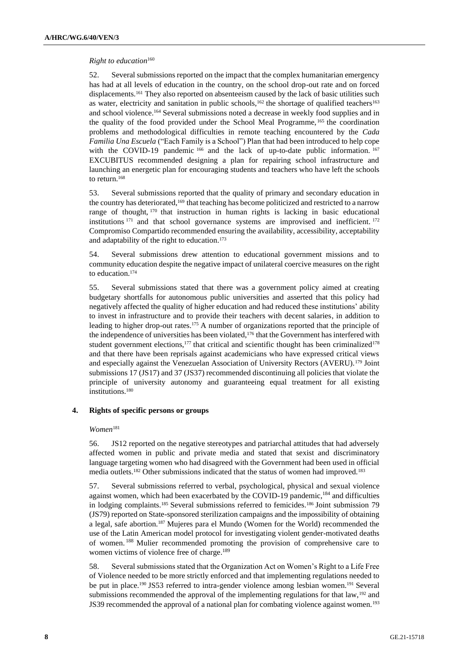#### *Right to education*<sup>160</sup>

52. Several submissions reported on the impact that the complex humanitarian emergency has had at all levels of education in the country, on the school drop-out rate and on forced displacements.<sup>161</sup> They also reported on absenteeism caused by the lack of basic utilities such as water, electricity and sanitation in public schools, $162$  the shortage of qualified teachers<sup>163</sup> and school violence.<sup>164</sup> Several submissions noted a decrease in weekly food supplies and in the quality of the food provided under the School Meal Programme, <sup>165</sup> the coordination problems and methodological difficulties in remote teaching encountered by the *Cada Familia Una Escuela* ("Each Family is a School") Plan that had been introduced to help cope with the COVID-19 pandemic <sup>166</sup> and the lack of up-to-date public information. <sup>167</sup> EXCUBITUS recommended designing a plan for repairing school infrastructure and launching an energetic plan for encouraging students and teachers who have left the schools to return.<sup>168</sup>

53. Several submissions reported that the quality of primary and secondary education in the country has deteriorated,<sup>169</sup> that teaching has become politicized and restricted to a narrow range of thought, <sup>170</sup> that instruction in human rights is lacking in basic educational institutions <sup>171</sup> and that school governance systems are improvised and inefficient. <sup>172</sup> Compromiso Compartido recommended ensuring the availability, accessibility, acceptability and adaptability of the right to education.<sup>173</sup>

54. Several submissions drew attention to educational government missions and to community education despite the negative impact of unilateral coercive measures on the right to education.<sup>174</sup>

55. Several submissions stated that there was a government policy aimed at creating budgetary shortfalls for autonomous public universities and asserted that this policy had negatively affected the quality of higher education and had reduced these institutions' ability to invest in infrastructure and to provide their teachers with decent salaries, in addition to leading to higher drop-out rates.<sup>175</sup> A number of organizations reported that the principle of the independence of universities has been violated,<sup>176</sup> that the Government has interfered with student government elections, $177$  that critical and scientific thought has been criminalized $178$ and that there have been reprisals against academicians who have expressed critical views and especially against the Venezuelan Association of University Rectors (AVERU).<sup>179</sup> Joint submissions 17 (JS17) and 37 (JS37) recommended discontinuing all policies that violate the principle of university autonomy and guaranteeing equal treatment for all existing institutions.<sup>180</sup>

#### **4. Rights of specific persons or groups**

#### *Women*<sup>181</sup>

56. JS12 reported on the negative stereotypes and patriarchal attitudes that had adversely affected women in public and private media and stated that sexist and discriminatory language targeting women who had disagreed with the Government had been used in official media outlets.<sup>182</sup> Other submissions indicated that the status of women had improved.<sup>183</sup>

57. Several submissions referred to verbal, psychological, physical and sexual violence against women, which had been exacerbated by the COVID-19 pandemic,<sup>184</sup> and difficulties in lodging complaints.<sup>185</sup> Several submissions referred to femicides.<sup>186</sup> Joint submission 79 (JS79) reported on State-sponsored sterilization campaigns and the impossibility of obtaining a legal, safe abortion.<sup>187</sup> Mujeres para el Mundo (Women for the World) recommended the use of the Latin American model protocol for investigating violent gender-motivated deaths of women. <sup>188</sup> Mulier recommended promoting the provision of comprehensive care to women victims of violence free of charge. 189

58. Several submissions stated that the Organization Act on Women's Right to a Life Free of Violence needed to be more strictly enforced and that implementing regulations needed to be put in place.<sup>190</sup> JS53 referred to intra-gender violence among lesbian women.<sup>191</sup> Several submissions recommended the approval of the implementing regulations for that law,<sup>192</sup> and JS39 recommended the approval of a national plan for combating violence against women.<sup>193</sup>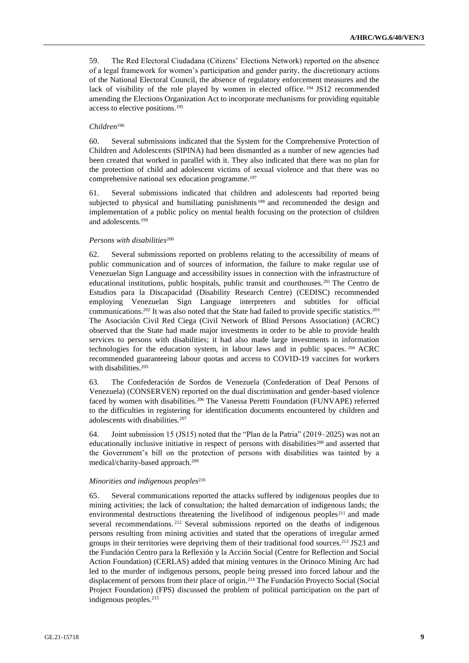59. The Red Electoral Ciudadana (Citizens' Elections Network) reported on the absence of a legal framework for women's participation and gender parity, the discretionary actions of the National Electoral Council, the absence of regulatory enforcement measures and the lack of visibility of the role played by women in elected office.<sup>194</sup> JS12 recommended amending the Elections Organization Act to incorporate mechanisms for providing equitable access to elective positions.<sup>195</sup>

#### *Children*<sup>196</sup>

60. Several submissions indicated that the System for the Comprehensive Protection of Children and Adolescents (SIPINA) had been dismantled as a number of new agencies had been created that worked in parallel with it. They also indicated that there was no plan for the protection of child and adolescent victims of sexual violence and that there was no comprehensive national sex education programme.<sup>197</sup>

61. Several submissions indicated that children and adolescents had reported being subjected to physical and humiliating punishments<sup>198</sup> and recommended the design and implementation of a public policy on mental health focusing on the protection of children and adolescents.<sup>199</sup>

#### *Persons with disabilities*<sup>200</sup>

62. Several submissions reported on problems relating to the accessibility of means of public communication and of sources of information, the failure to make regular use of Venezuelan Sign Language and accessibility issues in connection with the infrastructure of educational institutions, public hospitals, public transit and courthouses.<sup>201</sup> The Centro de Estudios para la Discapacidad (Disability Research Centre) (CEDISC) recommended employing Venezuelan Sign Language interpreters and subtitles for official communications.<sup>202</sup> It was also noted that the State had failed to provide specific statistics.<sup>203</sup> The Asociación Civil Red Ciega (Civil Network of Blind Persons Association) (ACRC) observed that the State had made major investments in order to be able to provide health services to persons with disabilities; it had also made large investments in information technologies for the education system, in labour laws and in public spaces. <sup>204</sup> ACRC recommended guaranteeing labour quotas and access to COVID-19 vaccines for workers with disabilities.<sup>205</sup>

63. The Confederación de Sordos de Venezuela (Confederation of Deaf Persons of Venezuela) (CONSERVEN) reported on the dual discrimination and gender-based violence faced by women with disabilities.<sup>206</sup> The Vanessa Peretti Foundation (FUNVAPE) referred to the difficulties in registering for identification documents encountered by children and adolescents with disabilities.<sup>207</sup>

64. Joint submission 15 (JS15) noted that the "Plan de la Patria" (2019–2025) was not an educationally inclusive initiative in respect of persons with disabilities<sup>208</sup> and asserted that the Government's bill on the protection of persons with disabilities was tainted by a medical/charity-based approach.<sup>209</sup>

#### *Minorities and indigenous peoples*<sup>210</sup>

65. Several communications reported the attacks suffered by indigenous peoples due to mining activities; the lack of consultation; the halted demarcation of indigenous lands; the environmental destructions threatening the livelihood of indigenous peoples<sup>211</sup> and made several recommendations. <sup>212</sup> Several submissions reported on the deaths of indigenous persons resulting from mining activities and stated that the operations of irregular armed groups in their territories were depriving them of their traditional food sources.<sup>213</sup> JS23 and the Fundación Centro para la Reflexión y la Acción Social (Centre for Reflection and Social Action Foundation) (CERLAS) added that mining ventures in the Orinoco Mining Arc had led to the murder of indigenous persons, people being pressed into forced labour and the displacement of persons from their place of origin.<sup>214</sup> The Fundación Proyecto Social (Social Project Foundation) (FPS) discussed the problem of political participation on the part of indigenous peoples.215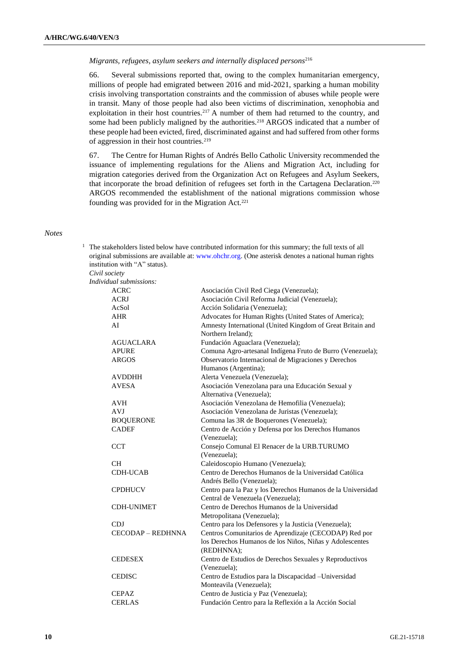#### *Migrants, refugees, asylum seekers and internally displaced persons*<sup>216</sup>

66. Several submissions reported that, owing to the complex humanitarian emergency, millions of people had emigrated between 2016 and mid-2021, sparking a human mobility crisis involving transportation constraints and the commission of abuses while people were in transit. Many of those people had also been victims of discrimination, xenophobia and exploitation in their host countries.<sup>217</sup> A number of them had returned to the country, and some had been publicly maligned by the authorities.<sup>218</sup> ARGOS indicated that a number of these people had been evicted, fired, discriminated against and had suffered from other forms of aggression in their host countries.<sup>219</sup>

67. The Centre for Human Rights of Andrés Bello Catholic University recommended the issuance of implementing regulations for the Aliens and Migration Act, including for migration categories derived from the Organization Act on Refugees and Asylum Seekers, that incorporate the broad definition of refugees set forth in the Cartagena Declaration.<sup>220</sup> ARGOS recommended the establishment of the national migrations commission whose founding was provided for in the Migration Act.<sup>221</sup>

#### *Notes*

 $1$  The stakeholders listed below have contributed information for this summary; the full texts of all original submissions are available at: [www.ohchr.org.](http://www.ohchr.org/) (One asterisk denotes a national human rights institution with "A" status).

*Civil society Indiv* 

| idual submissions: |                                                             |
|--------------------|-------------------------------------------------------------|
| <b>ACRC</b>        | Asociación Civil Red Ciega (Venezuela);                     |
| <b>ACRJ</b>        | Asociación Civil Reforma Judicial (Venezuela);              |
| AcSol              | Acción Solidaria (Venezuela);                               |
| <b>AHR</b>         | Advocates for Human Rights (United States of America);      |
| AI                 | Amnesty International (United Kingdom of Great Britain and  |
|                    | Northern Ireland);                                          |
| <b>AGUACLARA</b>   | Fundación Aguaclara (Venezuela);                            |
| <b>APURE</b>       | Comuna Agro-artesanal Indígena Fruto de Burro (Venezuela);  |
| <b>ARGOS</b>       | Observatorio Internacional de Migraciones y Derechos        |
|                    | Humanos (Argentina);                                        |
| AVDDHH             | Alerta Venezuela (Venezuela);                               |
| <b>AVESA</b>       | Asociación Venezolana para una Educación Sexual y           |
|                    | Alternativa (Venezuela);                                    |
| <b>AVH</b>         | Asociación Venezolana de Hemofilia (Venezuela);             |
| <b>AVJ</b>         | Asociación Venezolana de Juristas (Venezuela);              |
| <b>BOQUERONE</b>   | Comuna las 3R de Boquerones (Venezuela);                    |
| <b>CADEF</b>       | Centro de Acción y Defensa por los Derechos Humanos         |
|                    | (Venezuela);                                                |
| <b>CCT</b>         | Consejo Comunal El Renacer de la URB.TURUMO                 |
|                    | (Venezuela);                                                |
| <b>CH</b>          | Caleidoscopio Humano (Venezuela);                           |
| <b>CDH-UCAB</b>    | Centro de Derechos Humanos de la Universidad Católica       |
|                    | Andrés Bello (Venezuela);                                   |
| <b>CPDHUCV</b>     | Centro para la Paz y los Derechos Humanos de la Universidad |
|                    | Central de Venezuela (Venezuela);                           |
| <b>CDH-UNIMET</b>  | Centro de Derechos Humanos de la Universidad                |
|                    | Metropolitana (Venezuela);                                  |
| CDJ                | Centro para los Defensores y la Justicia (Venezuela);       |
| CECODAP - REDHNNA  | Centros Comunitarios de Aprendizaje (CECODAP) Red por       |
|                    | los Derechos Humanos de los Niños, Niñas y Adolescentes     |
|                    | (REDHNNA);                                                  |
| <b>CEDESEX</b>     | Centro de Estudios de Derechos Sexuales y Reproductivos     |
|                    | (Venezuela);                                                |
| <b>CEDISC</b>      | Centro de Estudios para la Discapacidad - Universidad       |
|                    | Monteavila (Venezuela);                                     |
| <b>CEPAZ</b>       | Centro de Justicia y Paz (Venezuela);                       |
| <b>CERLAS</b>      | Fundación Centro para la Reflexión a la Acción Social       |
|                    |                                                             |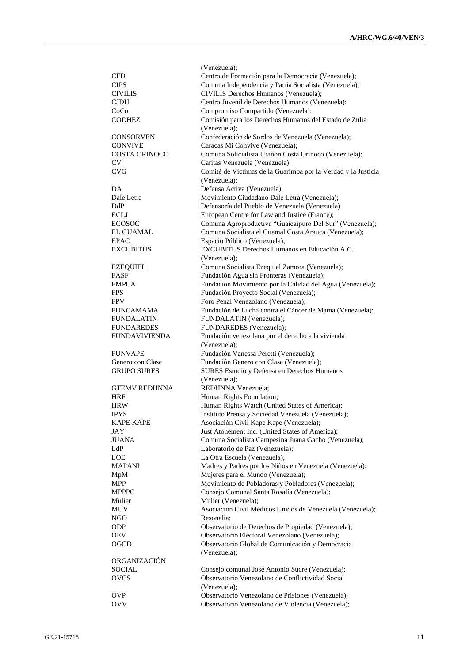|                      | (Venezuela);                                                  |
|----------------------|---------------------------------------------------------------|
| CFD                  | Centro de Formación para la Democracia (Venezuela);           |
| <b>CIPS</b>          | Comuna Independencia y Patria Socialista (Venezuela);         |
| <b>CIVILIS</b>       | CIVILIS Derechos Humanos (Venezuela);                         |
| <b>CJDH</b>          | Centro Juvenil de Derechos Humanos (Venezuela);               |
| CoCo                 | Compromiso Compartido (Venezuela);                            |
|                      |                                                               |
| <b>CODHEZ</b>        | Comisión para los Derechos Humanos del Estado de Zulia        |
|                      | (Venezuela);                                                  |
| <b>CONSORVEN</b>     | Confederación de Sordos de Venezuela (Venezuela);             |
| <b>CONVIVE</b>       | Caracas Mi Convive (Venezuela);                               |
| <b>COSTA ORINOCO</b> | Comuna Solicialista Urañon Costa Orinoco (Venezuela);         |
| CV                   | Caritas Venezuela (Venezuela);                                |
| <b>CVG</b>           | Comité de Victimas de la Guarimba por la Verdad y la Justicia |
|                      | (Venezuela);                                                  |
| DA                   | Defensa Activa (Venezuela);                                   |
| Dale Letra           | Movimiento Ciudadano Dale Letra (Venezuela);                  |
| DdP                  | Defensoría del Pueblo de Venezuela (Venezuela)                |
| ECLJ                 | European Centre for Law and Justice (France);                 |
| <b>ECOSOC</b>        | Comuna Agroproductiva "Guaicaipuro Del Sur" (Venezuela);      |
| <b>EL GUAMAL</b>     | Comuna Socialista el Guamal Costa Arauca (Venezuela);         |
| <b>EPAC</b>          | Espacio Público (Venezuela);                                  |
| <b>EXCUBITUS</b>     | EXCUBITUS Derechos Humanos en Educación A.C.                  |
|                      | (Venezuela);                                                  |
| <b>EZEQUIEL</b>      | Comuna Socialista Ezequiel Zamora (Venezuela);                |
| FASF                 | Fundación Agua sin Fronteras (Venezuela);                     |
| <b>FMPCA</b>         | Fundación Movimiento por la Calidad del Agua (Venezuela);     |
| <b>FPS</b>           | Fundación Proyecto Social (Venezuela);                        |
| <b>FPV</b>           | Foro Penal Venezolano (Venezuela);                            |
| <b>FUNCAMAMA</b>     | Fundación de Lucha contra el Cáncer de Mama (Venezuela);      |
| <b>FUNDALATIN</b>    | FUNDALATIN (Venezuela);                                       |
| <b>FUNDAREDES</b>    | FUNDAREDES (Venezuela);                                       |
| <b>FUNDAVIVIENDA</b> | Fundación venezolana por el derecho a la vivienda             |
|                      |                                                               |
|                      | (Venezuela);                                                  |
| <b>FUNVAPE</b>       | Fundación Vanessa Peretti (Venezuela);                        |
| Genero con Clase     | Fundación Genero con Clase (Venezuela);                       |
| <b>GRUPO SURES</b>   | SURES Estudio y Defensa en Derechos Humanos                   |
|                      | (Venezuela);                                                  |
| <b>GTEMV REDHNNA</b> | REDHNNA Venezuela:                                            |
| HRF                  | Human Rights Foundation;                                      |
| <b>HRW</b>           | Human Rights Watch (United States of America);                |
| <b>IPYS</b>          | Instituto Prensa y Sociedad Venezuela (Venezuela);            |
| <b>KAPE KAPE</b>     | Asociación Civil Kape Kape (Venezuela);                       |
| JAY                  | Just Atonement Inc. (United States of America);               |
| <b>JUANA</b>         | Comuna Socialista Campesina Juana Gacho (Venezuela);          |
| LdP                  | Laboratorio de Paz (Venezuela);                               |
| LOE                  | La Otra Escuela (Venezuela);                                  |
| <b>MAPANI</b>        | Madres y Padres por los Niños en Venezuela (Venezuela);       |
| MpM                  | Mujeres para el Mundo (Venezuela);                            |
| MPP                  | Movimiento de Pobladoras y Pobladores (Venezuela);            |
| <b>MPPPC</b>         | Consejo Comunal Santa Rosalía (Venezuela);                    |
| Mulier               | Mulier (Venezuela);                                           |
| MUV                  | Asociación Civil Médicos Unidos de Venezuela (Venezuela);     |
| NGO                  | Resonalia;                                                    |
| <b>ODP</b>           | Observatorio de Derechos de Propiedad (Venezuela);            |
| <b>OEV</b>           | Observatorio Electoral Venezolano (Venezuela);                |
| OGCD                 | Observatorio Global de Comunicación y Democracia              |
|                      | (Venezuela);                                                  |
| ORGANIZACIÓN         |                                                               |
| <b>SOCIAL</b>        | Consejo comunal José Antonio Sucre (Venezuela);               |
| <b>OVCS</b>          | Observatorio Venezolano de Conflictividad Social              |
|                      | (Venezuela);                                                  |
| <b>OVP</b>           | Observatorio Venezolano de Prisiones (Venezuela);             |
| <b>OVV</b>           | Observatorio Venezolano de Violencia (Venezuela);             |
|                      |                                                               |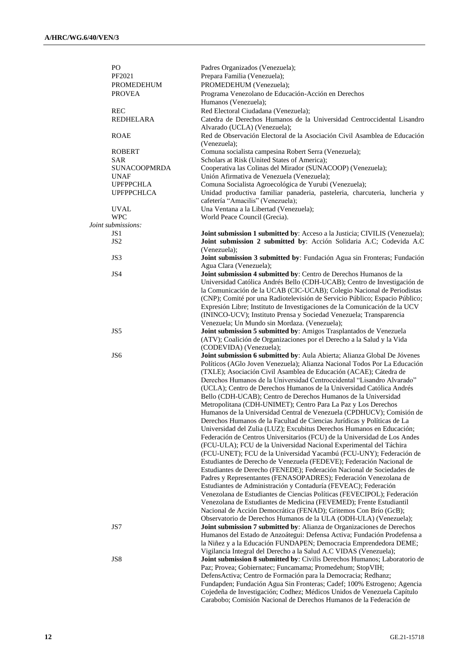| PO                                 | Padres Organizados (Venezuela);                                                                           |
|------------------------------------|-----------------------------------------------------------------------------------------------------------|
| PF2021                             | Prepara Familia (Venezuela);                                                                              |
| PROMEDEHUM                         | PROMEDEHUM (Venezuela);                                                                                   |
| <b>PROVEA</b>                      | Programa Venezolano de Educación-Acción en Derechos                                                       |
|                                    | Humanos (Venezuela);                                                                                      |
| <b>REC</b>                         | Red Electoral Ciudadana (Venezuela);                                                                      |
| REDHELARA                          | Catedra de Derechos Humanos de la Universidad Centroccidental Lisandro                                    |
|                                    | Alvarado (UCLA) (Venezuela);                                                                              |
| <b>ROAE</b>                        | Red de Observación Electoral de la Asociación Civil Asamblea de Educación                                 |
|                                    | (Venezuela);                                                                                              |
| <b>ROBERT</b>                      | Comuna socialista campesina Robert Serra (Venezuela);                                                     |
| SAR                                | Scholars at Risk (United States of America);                                                              |
|                                    |                                                                                                           |
| <b>SUNACOOPMRDA</b><br><b>UNAF</b> | Cooperativa las Colinas del Mirador (SUNACOOP) (Venezuela);<br>Unión Afirmativa de Venezuela (Venezuela); |
| <b>UPFPPCHLA</b>                   | Comuna Socialista Agroecológica de Yurubi (Venezuela);                                                    |
| <b>UPFPPCHLCA</b>                  |                                                                                                           |
|                                    | Unidad productiva familiar panaderia, pasteleria, charcuteria, luncheria y                                |
|                                    | cafetería "Amacilis" (Venezuela);                                                                         |
| <b>UVAL</b>                        | Una Ventana a la Libertad (Venezuela);                                                                    |
| <b>WPC</b>                         | World Peace Council (Grecia).                                                                             |
| Joint submissions:                 |                                                                                                           |
| JS <sub>1</sub>                    | Joint submission 1 submitted by: Acceso a la Justicia; CIVILIS (Venezuela);                               |
| JS <sub>2</sub>                    | Joint submission 2 submitted by: Acción Solidaria A.C; Codevida A.C                                       |
|                                    | (Venezuela);                                                                                              |
| JS3                                | Joint submission 3 submitted by: Fundación Agua sin Fronteras; Fundación                                  |
|                                    | Agua Clara (Venezuela);                                                                                   |
| JS4                                | Joint submission 4 submitted by: Centro de Derechos Humanos de la                                         |
|                                    | Universidad Católica Andrés Bello (CDH-UCAB); Centro de Investigación de                                  |
|                                    | la Comunicación de la UCAB (CIC-UCAB); Colegio Nacional de Periodistas                                    |
|                                    | (CNP); Comité por una Radiotelevisión de Servicio Público; Espacio Público;                               |
|                                    | Expresión Libre; Instituto de Investigaciones de la Comunicación de la UCV                                |
|                                    | (ININCO-UCV); Instituto Prensa y Sociedad Venezuela; Transparencia                                        |
|                                    | Venezuela; Un Mundo sin Mordaza. (Venezuela);                                                             |
| JS5                                | Joint submission 5 submitted by: Amigos Trasplantados de Venezuela                                        |
|                                    | (ATV); Coalición de Organizaciones por el Derecho a la Salud y la Vida                                    |
|                                    | (CODEVIDA) (Venezuela);                                                                                   |
| JS <sub>6</sub>                    | Joint submission 6 submitted by: Aula Abierta; Alianza Global De Jóvenes                                  |
|                                    | Políticos (AGlo Joven Venezuela); Alianza Nacional Todos Por La Educación                                 |
|                                    | (TXLE); Asociación Civil Asamblea de Educación (ACAE); Cátedra de                                         |
|                                    | Derechos Humanos de la Universidad Centroccidental "Lisandro Alvarado"                                    |
|                                    | (UCLA); Centro de Derechos Humanos de la Universidad Católica Andrés                                      |
|                                    | Bello (CDH-UCAB); Centro de Derechos Humanos de la Universidad                                            |
|                                    | Metropolitana (CDH-UNIMET); Centro Para La Paz y Los Derechos                                             |
|                                    | Humanos de la Universidad Central de Venezuela (CPDHUCV); Comisión de                                     |
|                                    | Derechos Humanos de la Facultad de Ciencias Jurídicas y Políticas de La                                   |
|                                    | Universidad del Zulia (LUZ); Excubitus Derechos Humanos en Educación;                                     |
|                                    | Federación de Centros Universitarios (FCU) de la Universidad de Los Andes                                 |
|                                    | (FCU-ULA); FCU de la Universidad Nacional Experimental del Táchira                                        |
|                                    | (FCU-UNET); FCU de la Universidad Yacambú (FCU-UNY); Federación de                                        |
|                                    | Estudiantes de Derecho de Venezuela (FEDEVE); Federación Nacional de                                      |
|                                    | Estudiantes de Derecho (FENEDE); Federación Nacional de Sociedades de                                     |
|                                    | Padres y Representantes (FENASOPADRES); Federación Venezolana de                                          |
|                                    | Estudiantes de Administración y Contaduría (FEVEAC); Federación                                           |
|                                    | Venezolana de Estudiantes de Ciencias Políticas (FEVECIPOL); Federación                                   |
|                                    | Venezolana de Estudiantes de Medicina (FEVEMED); Frente Estudiantil                                       |
|                                    | Nacional de Acción Democrática (FENAD); Gritemos Con Brío (GcB);                                          |
|                                    | Observatorio de Derechos Humanos de la ULA (ODH-ULA) (Venezuela);                                         |
| JS7                                | Joint submission 7 submitted by: Alianza de Organizaciones de Derechos                                    |
|                                    | Humanos del Estado de Anzoátegui: Defensa Activa; Fundación Prodefensa a                                  |
|                                    | la Niñez y a la Educación FUNDAPEN; Democracia Emprendedora DEME;                                         |
|                                    | Vigilancia Integral del Derecho a la Salud A.C VIDAS (Venezuela);                                         |
| JS8                                | Joint submission 8 submitted by: Civilis Derechos Humanos; Laboratorio de                                 |
|                                    | Paz; Provea; Gobiernatec; Funcamama; Promedehum; StopVIH;                                                 |
|                                    | DefensActiva; Centro de Formación para la Democracia; Redhanz;                                            |
|                                    | Fundapden; Fundación Agua Sin Fronteras; Cadef; 100% Estrogeno; Agencia                                   |
|                                    | Cojedeña de Investigación; Codhez; Médicos Unidos de Venezuela Capítulo                                   |
|                                    | Carabobo; Comisión Nacional de Derechos Humanos de la Federación de                                       |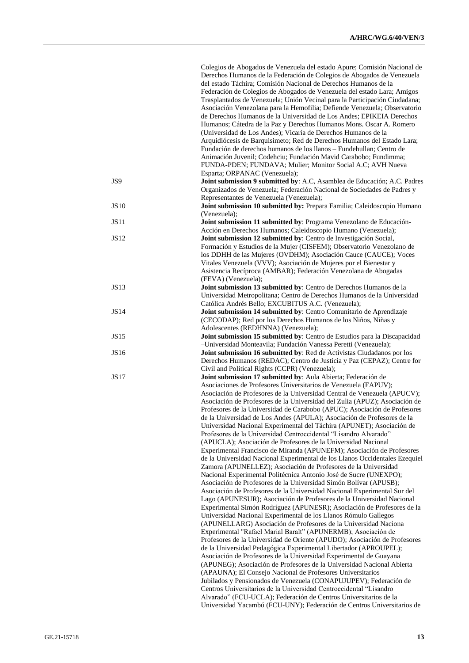|             | Colegios de Abogados de Venezuela del estado Apure; Comisión Nacional de<br>Derechos Humanos de la Federación de Colegios de Abogados de Venezuela |
|-------------|----------------------------------------------------------------------------------------------------------------------------------------------------|
|             | del estado Táchira; Comisión Nacional de Derechos Humanos de la                                                                                    |
|             | Federación de Colegios de Abogados de Venezuela del estado Lara; Amigos                                                                            |
|             | Trasplantados de Venezuela; Unión Vecinal para la Participación Ciudadana;                                                                         |
|             | Asociación Venezolana para la Hemofilia; Defiende Venezuela; Observatorio                                                                          |
|             | de Derechos Humanos de la Universidad de Los Andes; EPIKEIA Derechos                                                                               |
|             | Humanos; Cátedra de la Paz y Derechos Humanos Mons. Oscar A. Romero                                                                                |
|             | (Universidad de Los Andes); Vicaría de Derechos Humanos de la                                                                                      |
|             | Arquidiócesis de Barquisimeto; Red de Derechos Humanos del Estado Lara;                                                                            |
|             | Fundación de derechos humanos de los llanos - Fundehullan; Centro de                                                                               |
|             | Animación Juvenil; Codehciu; Fundación Mavid Carabobo; Fundimma;<br>FUNDA-PDEN; FUNDAVA; Mulier; Monitor Social A.C; AVH Nueva                     |
|             | Esparta; ORPANAC (Venezuela);                                                                                                                      |
| JS9         | Joint submission 9 submitted by: A.C, Asamblea de Educación; A.C. Padres                                                                           |
|             | Organizados de Venezuela; Federación Nacional de Sociedades de Padres y                                                                            |
| <b>JS10</b> | Representantes de Venezuela (Venezuela);<br>Joint submission 10 submitted by: Prepara Familia; Caleidoscopio Humano                                |
|             | (Venezuela);                                                                                                                                       |
| JS11        | Joint submission 11 submitted by: Programa Venezolano de Educación-                                                                                |
|             | Acción en Derechos Humanos; Caleidoscopio Humano (Venezuela);                                                                                      |
| <b>JS12</b> | Joint submission 12 submitted by: Centro de Investigación Social,                                                                                  |
|             | Formación y Estudios de la Mujer (CISFEM); Observatorio Venezolano de                                                                              |
|             | los DDHH de las Mujeres (OVDHM); Asociación Cauce (CAUCE); Voces                                                                                   |
|             | Vitales Venezuela (VVV); Asociación de Mujeres por el Bienestar y                                                                                  |
|             | Asistencia Recíproca (AMBAR); Federación Venezolana de Abogadas                                                                                    |
|             | (FEVA) (Venezuela);                                                                                                                                |
| <b>JS13</b> | Joint submission 13 submitted by: Centro de Derechos Humanos de la                                                                                 |
|             | Universidad Metropolitana; Centro de Derechos Humanos de la Universidad                                                                            |
|             | Católica Andrés Bello; EXCUBITUS A.C. (Venezuela);                                                                                                 |
| <b>JS14</b> | Joint submission 14 submitted by: Centro Comunitario de Aprendizaje                                                                                |
|             | (CECODAP); Red por los Derechos Humanos de los Niños, Niñas y                                                                                      |
|             | Adolescentes (REDHNNA) (Venezuela);                                                                                                                |
| JS15        | Joint submission 15 submitted by: Centro de Estudios para la Discapacidad                                                                          |
|             | -Universidad Monteavila; Fundación Vanessa Peretti (Venezuela);                                                                                    |
| JS16        | Joint submission 16 submitted by: Red de Activistas Ciudadanos por los                                                                             |
|             | Derechos Humanos (REDAC); Centro de Justicia y Paz (CEPAZ); Centre for<br>Civil and Political Rights (CCPR) (Venezuela);                           |
| <b>JS17</b> | Joint submission 17 submitted by: Aula Abierta; Federación de                                                                                      |
|             | Asociaciones de Profesores Universitarios de Venezuela (FAPUV);                                                                                    |
|             | Asociación de Profesores de la Universidad Central de Venezuela (APUCV);                                                                           |
|             | Asociación de Profesores de la Universidad del Zulia (APUZ); Asociación de                                                                         |
|             | Profesores de la Universidad de Carabobo (APUC); Asociación de Profesores                                                                          |
|             | de la Universidad de Los Andes (APULA); Asociación de Profesores de la                                                                             |
|             | Universidad Nacional Experimental del Táchira (APUNET); Asociación de                                                                              |
|             | Profesores de la Universidad Centroccidental "Lisandro Alvarado"                                                                                   |
|             | (APUCLA); Asociación de Profesores de la Universidad Nacional                                                                                      |
|             | Experimental Francisco de Miranda (APUNEFM); Asociación de Profesores                                                                              |
|             | de la Universidad Nacional Experimental de los Llanos Occidentales Ezequiel                                                                        |
|             | Zamora (APUNELLEZ); Asociación de Profesores de la Universidad                                                                                     |
|             | Nacional Experimental Politécnica Antonio José de Sucre (UNEXPO);                                                                                  |
|             | Asociación de Profesores de la Universidad Simón Bolívar (APUSB);                                                                                  |
|             | Asociación de Profesores de la Universidad Nacional Experimental Sur del                                                                           |
|             | Lago (APUNESUR); Asociación de Profesores de la Universidad Nacional                                                                               |
|             | Experimental Simón Rodríguez (APUNESR); Asociación de Profesores de la<br>Universidad Nacional Experimental de los Llanos Rómulo Gallegos          |
|             | (APUNELLARG) Asociación de Profesores de la Universidad Naciona                                                                                    |
|             | Experimental "Rafael Marial Baralt" (APUNERMB); Asociación de                                                                                      |
|             | Profesores de la Universidad de Oriente (APUDO); Asociación de Profesores                                                                          |
|             | de la Universidad Pedagógica Experimental Libertador (APROUPEL);                                                                                   |
|             | Asociación de Profesores de la Universidad Experimental de Guayana                                                                                 |
|             | (APUNEG); Asociación de Profesores de la Universidad Nacional Abierta                                                                              |
|             | (APAUNA); El Consejo Nacional de Profesores Universitarios                                                                                         |
|             | Jubilados y Pensionados de Venezuela (CONAPUJUPEV); Federación de                                                                                  |
|             | Centros Universitarios de la Universidad Centroccidental "Lisandro                                                                                 |
|             | Alvarado" (FCU-UCLA); Federación de Centros Universitarios de la                                                                                   |
|             | Universidad Yacambú (FCU-UNY); Federación de Centros Universitarios de                                                                             |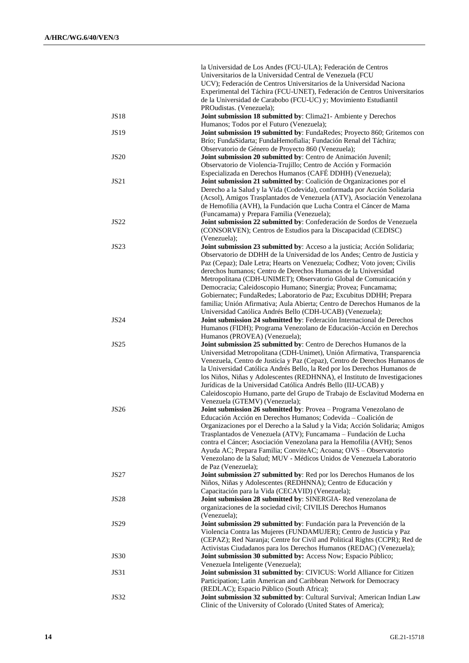|             | la Universidad de Los Andes (FCU-ULA); Federación de Centros                                                                                           |
|-------------|--------------------------------------------------------------------------------------------------------------------------------------------------------|
|             | Universitarios de la Universidad Central de Venezuela (FCU                                                                                             |
|             | UCV); Federación de Centros Universitarios de la Universidad Naciona                                                                                   |
|             | Experimental del Táchira (FCU-UNET), Federación de Centros Universitarios<br>de la Universidad de Carabobo (FCU-UC) y; Movimiento Estudiantil          |
|             | PROudistas. (Venezuela);                                                                                                                               |
| <b>JS18</b> | Joint submission 18 submitted by: Clima21- Ambiente y Derechos                                                                                         |
|             | Humanos; Todos por el Futuro (Venezuela);                                                                                                              |
| <b>JS19</b> | Joint submission 19 submitted by: FundaRedes; Proyecto 860; Gritemos con                                                                               |
|             | Brío; FundaSidarta; FundaHemofialia; Fundación Renal del Táchira;                                                                                      |
|             | Observatorio de Género de Proyecto 860 (Venezuela);                                                                                                    |
| <b>JS20</b> | Joint submission 20 submitted by: Centro de Animación Juvenil;<br>Observatorio de Violencia-Trujillo; Centro de Acción y Formación                     |
|             | Especializada en Derechos Humanos (CAFÉ DDHH) (Venezuela);                                                                                             |
| JS21        | Joint submission 21 submitted by: Coalición de Organizaciones por el                                                                                   |
|             | Derecho a la Salud y la Vida (Codevida), conformada por Acción Solidaria                                                                               |
|             | (Acsol), Amigos Trasplantados de Venezuela (ATV), Asociación Venezolana                                                                                |
|             | de Hemofilia (AVH), la Fundación que Lucha Contra el Cáncer de Mama                                                                                    |
|             | (Funcamama) y Prepara Familia (Venezuela);                                                                                                             |
| <b>JS22</b> | Joint submission 22 submitted by: Confederación de Sordos de Venezuela<br>(CONSORVEN); Centros de Estudios para la Discapacidad (CEDISC)               |
|             | (Venezuela);                                                                                                                                           |
| JS23        | Joint submission 23 submitted by: Acceso a la justicia; Acción Solidaria;                                                                              |
|             | Observatorio de DDHH de la Universidad de los Andes; Centro de Justicia y                                                                              |
|             | Paz (Cepaz); Dale Letra; Hearts on Venezuela; Codhez; Voto joven; Civilis                                                                              |
|             | derechos humanos; Centro de Derechos Humanos de la Universidad                                                                                         |
|             | Metropolitana (CDH-UNIMET); Observatorio Global de Comunicación y                                                                                      |
|             | Democracia; Caleidoscopio Humano; Sinergia; Provea; Funcamama;                                                                                         |
|             | Gobiernatec; FundaRedes; Laboratorio de Paz; Excubitus DDHH; Prepara<br>familia; Unión Afirmativa; Aula Abierta; Centro de Derechos Humanos de la      |
|             | Universidad Católica Andrés Bello (CDH-UCAB) (Venezuela);                                                                                              |
| <b>JS24</b> | Joint submission 24 submitted by: Federación Internacional de Derechos                                                                                 |
|             | Humanos (FIDH); Programa Venezolano de Educación-Acción en Derechos                                                                                    |
|             | Humanos (PROVEA) (Venezuela);                                                                                                                          |
| <b>JS25</b> | Joint submission 25 submitted by: Centro de Derechos Humanos de la                                                                                     |
|             | Universidad Metropolitana (CDH-Unimet), Unión Afirmativa, Transparencia                                                                                |
|             | Venezuela, Centro de Justicia y Paz (Cepaz), Centro de Derechos Humanos de<br>la Universidad Católica Andrés Bello, la Red por los Derechos Humanos de |
|             | los Niños, Niñas y Adolescentes (REDHNNA), el Instituto de Investigaciones                                                                             |
|             | Jurídicas de la Universidad Católica Andrés Bello (IIJ-UCAB) y                                                                                         |
|             | Caleidoscopio Humano, parte del Grupo de Trabajo de Esclavitud Moderna en                                                                              |
|             | Venezuela (GTEMV) (Venezuela);                                                                                                                         |
| <b>JS26</b> | Joint submission 26 submitted by: Provea - Programa Venezolano de                                                                                      |
|             | Educación Acción en Derechos Humanos; Codevida – Coalición de                                                                                          |
|             | Organizaciones por el Derecho a la Salud y la Vida; Acción Solidaria; Amigos<br>Trasplantados de Venezuela (ATV); Funcamama - Fundación de Lucha       |
|             | contra el Cáncer; Asociación Venezolana para la Hemofilia (AVH); Senos                                                                                 |
|             | Ayuda AC; Prepara Familia; ConviteAC; Acoana; OVS - Observatorio                                                                                       |
|             | Venezolano de la Salud; MUV - Médicos Unidos de Venezuela Laboratorio                                                                                  |
|             | de Paz (Venezuela);                                                                                                                                    |
|             |                                                                                                                                                        |
| <b>JS27</b> | Joint submission 27 submitted by: Red por los Derechos Humanos de los                                                                                  |
|             | Niños, Niñas y Adolescentes (REDHNNA); Centro de Educación y                                                                                           |
|             | Capacitación para la Vida (CECAVID) (Venezuela);                                                                                                       |
| <b>JS28</b> | Joint submission 28 submitted by: SINERGIA- Red venezolana de                                                                                          |
|             | organizaciones de la sociedad civil; CIVILIS Derechos Humanos<br>(Venezuela);                                                                          |
| <b>JS29</b> | Joint submission 29 submitted by: Fundación para la Prevención de la                                                                                   |
|             | Violencia Contra las Mujeres (FUNDAMUJER); Centro de Justicia y Paz                                                                                    |
|             | (CEPAZ); Red Naranja; Centre for Civil and Political Rights (CCPR); Red de                                                                             |
|             | Activistas Ciudadanos para los Derechos Humanos (REDAC) (Venezuela);                                                                                   |
| <b>JS30</b> | Joint submission 30 submitted by: Access Now; Espacio Público;                                                                                         |
|             | Venezuela Inteligente (Venezuela);                                                                                                                     |
| <b>JS31</b> | Joint submission 31 submitted by: CIVICUS: World Alliance for Citizen                                                                                  |
|             | Participation; Latin American and Caribbean Network for Democracy<br>(REDLAC); Espacio Público (South Africa);                                         |
| JS32        | Joint submission 32 submitted by: Cultural Survival; American Indian Law<br>Clinic of the University of Colorado (United States of America);           |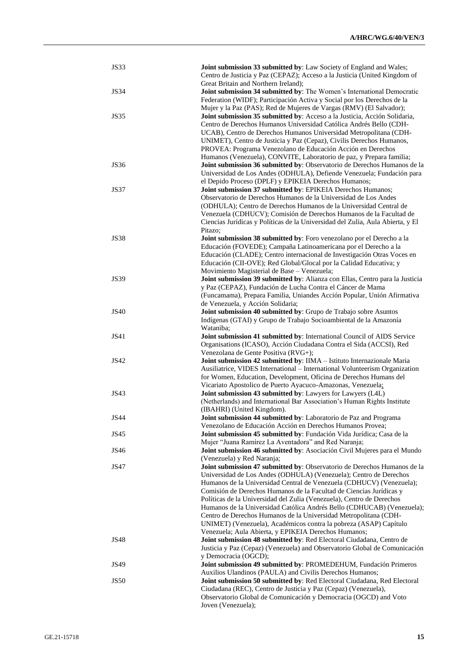| <b>JS33</b> | Joint submission 33 submitted by: Law Society of England and Wales;                                                                        |
|-------------|--------------------------------------------------------------------------------------------------------------------------------------------|
|             | Centro de Justicia y Paz (CEPAZ); Acceso a la Justicia (United Kingdom of                                                                  |
| <b>JS34</b> | Great Britain and Northern Ireland);<br>Joint submission 34 submitted by: The Women's International Democratic                             |
|             | Federation (WIDF); Participación Activa y Social por los Derechos de la                                                                    |
|             | Mujer y la Paz (PAS); Red de Mujeres de Vargas (RMV) (El Salvador);                                                                        |
| JS35        | Joint submission 35 submitted by: Acceso a la Justicia, Acción Solidaria,                                                                  |
|             | Centro de Derechos Humanos Universidad Católica Andrés Bello (CDH-                                                                         |
|             | UCAB), Centro de Derechos Humanos Universidad Metropolitana (CDH-                                                                          |
|             | UNIMET), Centro de Justicia y Paz (Cepaz), Civilis Derechos Humanos,                                                                       |
|             | PROVEA: Programa Venezolano de Educación Acción en Derechos                                                                                |
|             | Humanos (Venezuela), CONVITE, Laboratorio de paz, y Prepara familia;                                                                       |
| <b>JS36</b> | Joint submission 36 submitted by: Observatorio de Derechos Humanos de la                                                                   |
|             | Universidad de Los Andes (ODHULA), Defiende Venezuela; Fundación para                                                                      |
|             | el Depido Proceso (DPLF) y EPIKEIA Derechos Humanos;                                                                                       |
| JS37        | Joint submission 37 submitted by: EPIKEIA Derechos Humanos;                                                                                |
|             | Observatorio de Derechos Humanos de la Universidad de Los Andes                                                                            |
|             | (ODHULA); Centro de Derechos Humanos de la Universidad Central de<br>Venezuela (CDHUCV); Comisión de Derechos Humanos de la Facultad de    |
|             | Ciencias Jurídicas y Políticas de la Universidad del Zulia, Aula Abierta, y El                                                             |
|             | Pitazo;                                                                                                                                    |
| <b>JS38</b> | Joint submission 38 submitted by: Foro venezolano por el Derecho a la                                                                      |
|             | Educación (FOVEDE); Campaña Latinoamericana por el Derecho a la                                                                            |
|             | Educación (CLADE); Centro internacional de Investigación Otras Voces en                                                                    |
|             | Educación (CII-OVE); Red Global/Glocal por la Calidad Educativa; y                                                                         |
|             | Movimiento Magisterial de Base - Venezuela;                                                                                                |
| JS39        | Joint submission 39 submitted by: Alianza con Ellas, Centro para la Justicia                                                               |
|             | y Paz (CEPAZ), Fundación de Lucha Contra el Cáncer de Mama                                                                                 |
|             | (Funcamama), Prepara Familia, Uniandes Acción Popular, Unión Afirmativa                                                                    |
|             | de Venezuela, y Acción Solidaria;                                                                                                          |
| <b>JS40</b> | Joint submission 40 submitted by: Grupo de Trabajo sobre Asuntos<br>Indígenas (GTAI) y Grupo de Trabajo Socioambiental de la Amazonía      |
|             | Wataniba;                                                                                                                                  |
| <b>JS41</b> | Joint submission 41 submitted by: International Council of AIDS Service                                                                    |
|             | Organisations (ICASO), Acción Ciudadana Contra el Sida (ACCSI), Red                                                                        |
|             | Venezolana de Gente Positiva (RVG+);                                                                                                       |
| JS42        | Joint submission 42 submitted by: IIMA - Istituto Internazionale Maria                                                                     |
|             | Ausiliatrice, VIDES International - International Volunteerism Organization                                                                |
|             | for Women, Education, Development, Oficina de Derechos Humans del                                                                          |
|             | Vicariato Apostolico de Puerto Ayacuco-Amazonas, Venezuela;                                                                                |
| <b>JS43</b> | Joint submission 43 submitted by: Lawyers for Lawyers (L4L)                                                                                |
|             | (Netherlands) and International Bar Association's Human Rights Institute                                                                   |
| <b>JS44</b> | (IBAHRI) (United Kingdom).<br>Joint submission 44 submitted by: Laboratorio de Paz and Programa                                            |
|             | Venezolano de Educación Acción en Derechos Humanos Provea;                                                                                 |
| JS45        | Joint submission 45 submitted by: Fundación Vida Jurídica; Casa de la                                                                      |
|             | Mujer "Juana Ramírez La Aventadora" and Red Naranja;                                                                                       |
| JS46        | Joint submission 46 submitted by: Asociación Civil Mujeres para el Mundo                                                                   |
|             | (Venezuela) y Red Naranja;                                                                                                                 |
| <b>JS47</b> | Joint submission 47 submitted by: Observatorio de Derechos Humanos de la                                                                   |
|             | Universidad de Los Andes (ODHULA) (Venezuela); Centro de Derechos                                                                          |
|             | Humanos de la Universidad Central de Venezuela (CDHUCV) (Venezuela);                                                                       |
|             | Comisión de Derechos Humanos de la Facultad de Ciencias Jurídicas y                                                                        |
|             | Políticas de la Universidad del Zulia (Venezuela), Centro de Derechos                                                                      |
|             | Humanos de la Universidad Católica Andrés Bello (CDHUCAB) (Venezuela);<br>Centro de Derechos Humanos de la Universidad Metropolitana (CDH- |
|             | UNIMET) (Venezuela), Académicos contra la pobreza (ASAP) Capítulo                                                                          |
|             | Venezuela; Aula Abierta, y EPIKEIA Derechos Humanos;                                                                                       |
| JS48        | Joint submission 48 submitted by: Red Electoral Ciudadana, Centro de                                                                       |
|             | Justicia y Paz (Cepaz) (Venezuela) and Observatorio Global de Comunicación                                                                 |
|             | y Democracia (OGCD);                                                                                                                       |
| JS49        | Joint submission 49 submitted by: PROMEDEHUM, Fundación Primeros                                                                           |
|             | Auxilios Ulandinos (PAULA) and Civilis Derechos Humanos;                                                                                   |
| <b>JS50</b> | Joint submission 50 submitted by: Red Electoral Ciudadana, Red Electoral                                                                   |
|             | Ciudadana (REC), Centro de Justicia y Paz (Cepaz) (Venezuela),                                                                             |
|             | Observatorio Global de Comunicación y Democracia (OGCD) and Voto                                                                           |
|             | Joven (Venezuela);                                                                                                                         |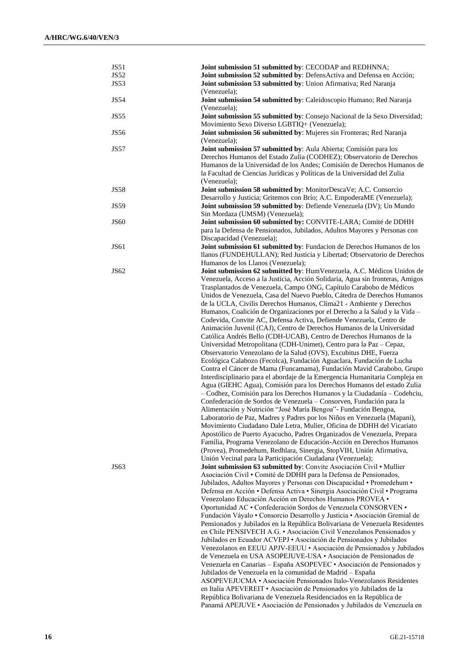| JS51        | Joint submission 51 submitted by: CECODAP and REDHNNA;                        |
|-------------|-------------------------------------------------------------------------------|
| <b>JS52</b> | Joint submission 52 submitted by: DefensActiva and Defensa en Acción;         |
| <b>JS53</b> | Joint submission 53 submitted by: Union Afirmativa; Red Naranja               |
|             | (Venezuela);                                                                  |
| <b>JS54</b> | Joint submission 54 submitted by: Caleidoscopio Humano; Red Naranja           |
|             | (Venezuela);                                                                  |
| <b>JS55</b> | Joint submission 55 submitted by: Consejo Nacional de la Sexo Diversidad;     |
|             | Movimiento Sexo Diverso LGBTIQ+ (Venezuela);                                  |
| <b>JS56</b> | Joint submission 56 submitted by: Mujeres sin Fronteras; Red Naranja          |
|             | (Venezuela);                                                                  |
| <b>JS57</b> | Joint submission 57 submitted by: Aula Abierta; Comisión para los             |
|             | Derechos Humanos del Estado Zulia (CODHEZ); Observatorio de Derechos          |
|             | Humanos de la Universidad de los Andes; Comisión de Derechos Humanos de       |
|             | la Facultad de Ciencias Jurídicas y Políticas de la Universidad del Zulia     |
|             | (Venezuela);                                                                  |
| <b>JS58</b> | Joint submission 58 submitted by: MonitorDescaVe; A.C. Consorcio              |
|             | Desarrollo y Justicia; Gritemos con Brío; A.C. EmpoderaME (Venezuela);        |
| <b>JS59</b> | Joint submission 59 submitted by: Defiende Venezuela (DV); Un Mundo           |
|             | Sin Mordaza (UMSM) (Venezuela);                                               |
| <b>JS60</b> | Joint submission 60 submitted by: CONVITE-LARA; Comité de DDHH                |
|             | para la Defensa de Pensionados, Jubilados, Adultos Mayores y Personas con     |
|             | Discapacidad (Venezuela);                                                     |
| <b>JS61</b> | Joint submission 61 submitted by: Fundacion de Derechos Humanos de los        |
|             |                                                                               |
|             | llanos (FUNDEHULLAN); Red Justicia y Libertad; Observatorio de Derechos       |
|             | Humanos de los Llanos (Venezuela);                                            |
| JS62        | Joint submission 62 submitted by: HumVenezuela, A.C. Médicos Unidos de        |
|             | Venezuela, Acceso a la Justicia, Acción Solidaria, Agua sin fronteras, Amigos |
|             | Trasplantados de Venezuela, Campo ONG, Capítulo Carabobo de Médicos           |
|             | Unidos de Venezuela, Casa del Nuevo Pueblo, Cátedra de Derechos Humanos       |
|             | de la UCLA, Civilis Derechos Humanos, Clima21 - Ambiente y Derechos           |
|             | Humanos, Coalición de Organizaciones por el Derecho a la Salud y la Vida -    |
|             | Codevida, Convite AC, Defensa Activa, Defiende Venezuela, Centro de           |
|             | Animación Juvenil (CAJ), Centro de Derechos Humanos de la Universidad         |
|             | Católica Andrés Bello (CDH-UCAB), Centro de Derechos Humanos de la            |
|             | Universidad Metropolitana (CDH-Unimet), Centro para la Paz – Cepaz,           |
|             | Observatorio Venezolano de la Salud (OVS), Excubitus DHE, Fuerza              |
|             | Ecológica Calabozo (Fecolca), Fundación Aguaclara, Fundación de Lucha         |
|             | Contra el Cáncer de Mama (Funcamama), Fundación Mavid Carabobo, Grupo         |
|             | Interdisciplinario para el abordaje de la Emergencia Humanitaria Compleja en  |
|             | Agua (GIEHC Agua), Comisión para los Derechos Humanos del estado Zulia        |
|             | - Codhez, Comisión para los Derechos Humanos y la Ciudadanía - Codehciu,      |
|             | Confederación de Sordos de Venezuela - Consorven, Fundación para la           |
|             | Alimentación y Nutrición "José María Bengoa" - Fundación Bengoa,              |
|             | Laboratorio de Paz, Madres y Padres por los Niños en Venezuela (Mapani),      |
|             | Movimiento Ciudadano Dale Letra, Mulier, Oficina de DDHH del Vicariato        |
|             | Apostólico de Puerto Ayacucho, Padres Organizados de Venezuela, Prepara       |
|             | Familia, Programa Venezolano de Educación-Acción en Derechos Humanos          |
|             | (Provea), Promedehum, Redhlara, Sinergia, StopVIH, Unión Afirmativa,          |
|             | Unión Vecinal para la Participación Ciudadana (Venezuela);                    |
| JS63        | Joint submission 63 submitted by: Convite Asociación Civil • Mullier          |
|             | Asociación Civil · Comité de DDHH para la Defensa de Pensionados,             |
|             | Jubilados, Adultos Mayores y Personas con Discapacidad · Promedehum ·         |
|             | Defensa en Acción · Defensa Activa · Sinergia Asociación Civil · Programa     |
|             | Venezolano Educación Acción en Derechos Humanos PROVEA .                      |
|             | Oportunidad AC · Confederación Sordos de Venezuela CONSORVEN ·                |
|             | Fundación Váyalo · Consorcio Desarrollo y Justicia · Asociación Gremial de    |
|             | Pensionados y Jubilados en la República Bolivariana de Venezuela Residentes   |
|             | en Chile PENSIVECH A.G. · Asociación Civil Venezolanos Pensionados y          |
|             | Jubilados en Ecuador ACVEPJ · Asociación de Pensionados y Jubilados           |
|             | Venezolanos en EEUU APJV-EEUU · Asociación de Pensionados y Jubilados         |
|             | de Venezuela en USA ASOPEJUVE-USA · Asociación de Pensionados de              |
|             | Venezuela en Canarias – España ASOPEVEC • Asociación de Pensionados y         |
|             | Jubilados de Venezuela en la comunidad de Madrid - España                     |
|             | ASOPEVEJUCMA · Asociación Pensionados Italo-Venezolanos Residentes            |
|             |                                                                               |
|             | en Italia APEVEREIT · Asociación de Pensionados y/o Jubilados de la           |
|             | República Bolivariana de Venezuela Residenciados en la República de           |
|             | Panamá APEJUVE · Asociación de Pensionados y Jubilados de Venezuela en        |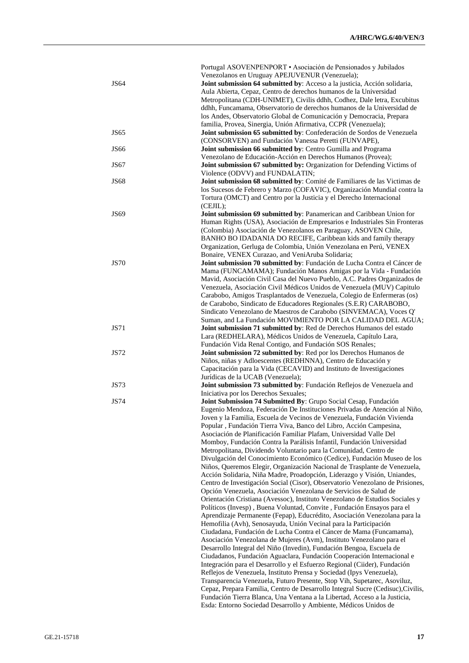|             | Portugal ASOVENPENPORT • Asociación de Pensionados y Jubilados                                                                                      |
|-------------|-----------------------------------------------------------------------------------------------------------------------------------------------------|
|             | Venezolanos en Uruguay APEJUVENUR (Venezuela);                                                                                                      |
| <b>JS64</b> | Joint submission 64 submitted by: Acceso a la justicia, Acción solidaria,                                                                           |
|             | Aula Abierta, Cepaz, Centro de derechos humanos de la Universidad                                                                                   |
|             | Metropolitana (CDH-UNIMET), Civilis ddhh, Codhez, Dale letra, Excubitus                                                                             |
|             | ddhh, Funcamama, Observatorio de derechos humanos de la Universidad de                                                                              |
|             | los Andes, Observatorio Global de Comunicación y Democracia, Prepara                                                                                |
|             | familia, Provea, Sinergia, Unión Afirmativa, CCPR (Venezuela);                                                                                      |
| <b>JS65</b> | Joint submission 65 submitted by: Confederación de Sordos de Venezuela                                                                              |
|             | (CONSORVEN) and Fundación Vanessa Peretti (FUNVAPE),                                                                                                |
| <b>JS66</b> | Joint submission 66 submitted by: Centro Gumilla and Programa                                                                                       |
|             | Venezolano de Educación-Acción en Derechos Humanos (Provea);                                                                                        |
| JS67        | Joint submission 67 submitted by: Organization for Defending Victims of                                                                             |
| <b>JS68</b> | Violence (ODVV) and FUNDALATIN;<br>Joint submission 68 submitted by: Comité de Familiares de las Victimas de                                        |
|             | los Sucesos de Febrero y Marzo (COFAVIC), Organización Mundial contra la                                                                            |
|             | Tortura (OMCT) and Centro por la Justicia y el Derecho Internacional                                                                                |
|             | (CEJIL);                                                                                                                                            |
| <b>JS69</b> | Joint submission 69 submitted by: Panamerican and Caribbean Union for                                                                               |
|             | Human Rights (USA), Asociación de Empresarios e Industriales Sin Fronteras                                                                          |
|             | (Colombia) Asociación de Venezolanos en Paraguay, ASOVEN Chile,                                                                                     |
|             | BANHO BO IDADANIA DO RECIFE, Caribbean kids and family therapy                                                                                      |
|             | Organization, Gerluga de Colombia, Unión Venezolana en Perú, VENEX                                                                                  |
|             | Bonaire, VENEX Curazao, and VeniAruba Solidaria;                                                                                                    |
| <b>JS70</b> | Joint submission 70 submitted by: Fundación de Lucha Contra el Cáncer de                                                                            |
|             | Mama (FUNCAMAMA); Fundación Manos Amigas por la Vida - Fundación                                                                                    |
|             | Mavid, Asociación Civil Casa del Nuevo Pueblo, A.C. Padres Organizados de                                                                           |
|             | Venezuela, Asociación Civil Médicos Unidos de Venezuela (MUV) Capitulo                                                                              |
|             | Carabobo, Amigos Trasplantados de Venezuela, Colegio de Enfermeras (os)                                                                             |
|             | de Carabobo, Sindicato de Educadores Regionales (S.E.R) CARABOBO,                                                                                   |
|             | Sindicato Venezolano de Maestros de Carabobo (SINVEMACA), Voces Q'                                                                                  |
|             | Suman, and La Fundación MOVIMIENTO POR LA CALIDAD DEL AGUA;                                                                                         |
| <b>JS71</b> | Joint submission 71 submitted by: Red de Derechos Humanos del estado                                                                                |
|             | Lara (REDHELARA), Médicos Unidos de Venezuela, Capítulo Lara,                                                                                       |
|             | Fundación Vida Renal Contigo, and Fundación SOS Renales;                                                                                            |
| <b>JS72</b> | Joint submission 72 submitted by: Red por los Derechos Humanos de                                                                                   |
|             | Niños, niñas y Adloescentes (REDHNNA), Centro de Educación y                                                                                        |
|             | Capacitación para la Vida (CECAVID) and Instituto de Investigaciones                                                                                |
|             | Jurídicas de la UCAB (Venezuela);                                                                                                                   |
| <b>JS73</b> | Joint submission 73 submitted by: Fundación Reflejos de Venezuela and                                                                               |
|             | Iniciativa por los Derechos Sexuales;                                                                                                               |
| JS74        | Joint Submission 74 Submitted By: Grupo Social Cesap, Fundación                                                                                     |
|             | Eugenio Mendoza, Federación De Instituciones Privadas de Atención al Niño,                                                                          |
|             | Joven y la Familia, Escuela de Vecinos de Venezuela, Fundación Vivienda                                                                             |
|             | Popular, Fundación Tierra Viva, Banco del Libro, Acción Campesina,                                                                                  |
|             | Asociación de Planificación Familiar Plafam, Universidad Valle Del                                                                                  |
|             | Momboy, Fundación Contra la Parálisis Infantil, Fundación Universidad                                                                               |
|             | Metropolitana, Dividendo Voluntario para la Comunidad, Centro de                                                                                    |
|             | Divulgación del Conocimiento Económico (Cedice), Fundación Museo de los                                                                             |
|             | Niños, Queremos Elegir, Organización Nacional de Trasplante de Venezuela,                                                                           |
|             | Acción Solidaria, Niña Madre, Proadopción, Liderazgo y Visión, Uniandes,                                                                            |
|             | Centro de Investigación Social (Cisor), Observatorio Venezolano de Prisiones,                                                                       |
|             | Opción Venezuela, Asociación Venezolana de Servicios de Salud de                                                                                    |
|             | Orientación Cristiana (Avessoc), Instituto Venezolano de Estudios Sociales y                                                                        |
|             | Políticos (Invesp), Buena Voluntad, Convite, Fundación Ensayos para el                                                                              |
|             | Aprendizaje Permanente (Fepap), Educrédito, Asociación Venezolana para la                                                                           |
|             | Hemofilia (Avh), Senosayuda, Unión Vecinal para la Participación                                                                                    |
|             | Ciudadana, Fundación de Lucha Contra el Cáncer de Mama (Funcamama),                                                                                 |
|             | Asociación Venezolana de Mujeres (Avm), Instituto Venezolano para el<br>Desarrollo Integral del Niño (Invedin), Fundación Bengoa, Escuela de        |
|             |                                                                                                                                                     |
|             | Ciudadanos, Fundación Aguaclara, Fundación Cooperación Internacional e<br>Integración para el Desarrollo y el Esfuerzo Regional (Ciider), Fundación |
|             | Reflejos de Venezuela, Instituto Prensa y Sociedad (Ipys Venezuela),                                                                                |
|             | Transparencia Venezuela, Futuro Presente, Stop Vih, Supetarec, Asoviluz,                                                                            |
|             | Cepaz, Prepara Familia, Centro de Desarrollo Integral Sucre (Cedisuc), Civilis,                                                                     |
|             | Fundación Tierra Blanca, Una Ventana a la Libertad, Acceso a la Justicia,                                                                           |
|             | Esda: Entorno Sociedad Desarrollo y Ambiente, Médicos Unidos de                                                                                     |
|             |                                                                                                                                                     |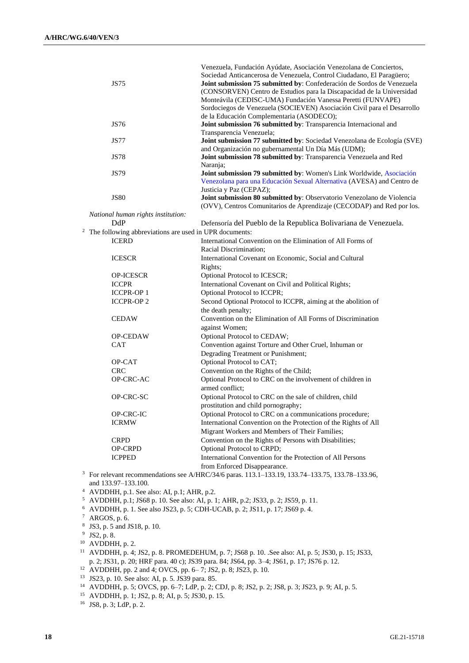|                                                                                              | <b>JS75</b>                                                         | Venezuela, Fundación Ayúdate, Asociación Venezolana de Conciertos,<br>Sociedad Anticancerosa de Venezuela, Control Ciudadano, El Paragüero;<br>Joint submission 75 submitted by: Confederación de Sordos de Venezuela<br>(CONSORVEN) Centro de Estudios para la Discapacidad de la Universidad<br>Monteávila (CEDISC-UMA) Fundación Vanessa Peretti (FUNVAPE)<br>Sordociegos de Venezuela (SOCIEVEN) Asociación Civil para el Desarrollo |
|----------------------------------------------------------------------------------------------|---------------------------------------------------------------------|------------------------------------------------------------------------------------------------------------------------------------------------------------------------------------------------------------------------------------------------------------------------------------------------------------------------------------------------------------------------------------------------------------------------------------------|
|                                                                                              | <b>JS76</b>                                                         | de la Educación Complementaria (ASODECO);<br>Joint submission 76 submitted by: Transparencia Internacional and<br>Transparencia Venezuela;                                                                                                                                                                                                                                                                                               |
|                                                                                              | <b>JS77</b>                                                         | Joint submission 77 submitted by: Sociedad Venezolana de Ecología (SVE)<br>and Organización no gubernamental Un Día Más (UDM);                                                                                                                                                                                                                                                                                                           |
|                                                                                              | <b>JS78</b>                                                         | Joint submission 78 submitted by: Transparencia Venezuela and Red<br>Naranja;                                                                                                                                                                                                                                                                                                                                                            |
|                                                                                              | <b>JS79</b>                                                         | Joint submission 79 submitted by: Women's Link Worldwide, Asociación<br>Venezolana para una Educación Sexual Alternativa (AVESA) and Centro de                                                                                                                                                                                                                                                                                           |
|                                                                                              | <b>JS80</b>                                                         | Justicia y Paz (CEPAZ);<br>Joint submission 80 submitted by: Observatorio Venezolano de Violencia                                                                                                                                                                                                                                                                                                                                        |
|                                                                                              |                                                                     | (OVV), Centros Comunitarios de Aprendizaje (CECODAP) and Red por los.                                                                                                                                                                                                                                                                                                                                                                    |
|                                                                                              | National human rights institution:                                  |                                                                                                                                                                                                                                                                                                                                                                                                                                          |
|                                                                                              | DdP                                                                 | Defensoría del Pueblo de la Republica Bolivariana de Venezuela.                                                                                                                                                                                                                                                                                                                                                                          |
|                                                                                              | <sup>2</sup> The following abbreviations are used in UPR documents: |                                                                                                                                                                                                                                                                                                                                                                                                                                          |
|                                                                                              | <b>ICERD</b>                                                        | International Convention on the Elimination of All Forms of<br>Racial Discrimination;                                                                                                                                                                                                                                                                                                                                                    |
|                                                                                              | <b>ICESCR</b>                                                       | International Covenant on Economic, Social and Cultural                                                                                                                                                                                                                                                                                                                                                                                  |
|                                                                                              |                                                                     | Rights;                                                                                                                                                                                                                                                                                                                                                                                                                                  |
|                                                                                              | <b>OP-ICESCR</b>                                                    | Optional Protocol to ICESCR;                                                                                                                                                                                                                                                                                                                                                                                                             |
|                                                                                              | <b>ICCPR</b>                                                        | International Covenant on Civil and Political Rights;                                                                                                                                                                                                                                                                                                                                                                                    |
|                                                                                              | <b>ICCPR-OP1</b>                                                    | Optional Protocol to ICCPR;                                                                                                                                                                                                                                                                                                                                                                                                              |
|                                                                                              | <b>ICCPR-OP2</b>                                                    | Second Optional Protocol to ICCPR, aiming at the abolition of                                                                                                                                                                                                                                                                                                                                                                            |
|                                                                                              |                                                                     | the death penalty;                                                                                                                                                                                                                                                                                                                                                                                                                       |
|                                                                                              | <b>CEDAW</b>                                                        | Convention on the Elimination of All Forms of Discrimination                                                                                                                                                                                                                                                                                                                                                                             |
|                                                                                              |                                                                     | against Women;                                                                                                                                                                                                                                                                                                                                                                                                                           |
|                                                                                              | <b>OP-CEDAW</b>                                                     | Optional Protocol to CEDAW;                                                                                                                                                                                                                                                                                                                                                                                                              |
|                                                                                              | <b>CAT</b>                                                          | Convention against Torture and Other Cruel, Inhuman or                                                                                                                                                                                                                                                                                                                                                                                   |
|                                                                                              |                                                                     | Degrading Treatment or Punishment;                                                                                                                                                                                                                                                                                                                                                                                                       |
|                                                                                              | OP-CAT                                                              | Optional Protocol to CAT;                                                                                                                                                                                                                                                                                                                                                                                                                |
|                                                                                              | <b>CRC</b>                                                          | Convention on the Rights of the Child;                                                                                                                                                                                                                                                                                                                                                                                                   |
|                                                                                              | OP-CRC-AC                                                           | Optional Protocol to CRC on the involvement of children in<br>armed conflict;                                                                                                                                                                                                                                                                                                                                                            |
|                                                                                              | OP-CRC-SC                                                           | Optional Protocol to CRC on the sale of children, child                                                                                                                                                                                                                                                                                                                                                                                  |
|                                                                                              |                                                                     | prostitution and child pornography;                                                                                                                                                                                                                                                                                                                                                                                                      |
|                                                                                              | OP-CRC-IC                                                           | Optional Protocol to CRC on a communications procedure;                                                                                                                                                                                                                                                                                                                                                                                  |
|                                                                                              | <b>ICRMW</b>                                                        | International Convention on the Protection of the Rights of All                                                                                                                                                                                                                                                                                                                                                                          |
|                                                                                              |                                                                     | Migrant Workers and Members of Their Families;                                                                                                                                                                                                                                                                                                                                                                                           |
|                                                                                              | <b>CRPD</b>                                                         | Convention on the Rights of Persons with Disabilities;                                                                                                                                                                                                                                                                                                                                                                                   |
|                                                                                              | OP-CRPD                                                             | Optional Protocol to CRPD;                                                                                                                                                                                                                                                                                                                                                                                                               |
|                                                                                              | <b>ICPPED</b>                                                       | International Convention for the Protection of All Persons<br>from Enforced Disappearance.                                                                                                                                                                                                                                                                                                                                               |
|                                                                                              |                                                                     | <sup>3</sup> For relevant recommendations see A/HRC/34/6 paras. 113.1–133.19, 133.74–133.75, 133.78–133.96,                                                                                                                                                                                                                                                                                                                              |
|                                                                                              | and 133.97-133.100.                                                 |                                                                                                                                                                                                                                                                                                                                                                                                                                          |
|                                                                                              | $4$ AVDDHH, p.1. See also: AI, p.1; AHR, p.2.                       |                                                                                                                                                                                                                                                                                                                                                                                                                                          |
| <sup>5</sup> AVDDHH, p.1; JS68 p. 10. See also: AI, p. 1; AHR, p.2; JS33, p. 2; JS59, p. 11. |                                                                     |                                                                                                                                                                                                                                                                                                                                                                                                                                          |
|                                                                                              |                                                                     | <sup>6</sup> AVDDHH, p. 1. See also JS23, p. 5; CDH-UCAB, p. 2; JS11, p. 17; JS69 p. 4.                                                                                                                                                                                                                                                                                                                                                  |
| $7$ ARGOS, p. 6.                                                                             |                                                                     |                                                                                                                                                                                                                                                                                                                                                                                                                                          |

8 JS3, p. 5 and JS18, p. 10.

<sup>9</sup> JS2, p. 8.

 $10$  AVDDHH, p. 2.

<sup>11</sup> AVDDHH, p. 4; JS2, p. 8. PROMEDEHUM, p. 7; JS68 p. 10. .See also: AI, p. 5; JS30, p. 15; JS33, p. 2; JS31, p. 20; HRF para. 40 c); JS39 para. 84; JS64, pp. 3–4; JS61, p. 17; JS76 p. 12.

<sup>12</sup> AVDDHH, pp. 2 and 4; OVCS, pp. 6– 7; JS2, p. 8; JS23, p. 10.

<sup>13</sup> JS23, p. 10. See also: AI, p. 5. JS39 para. 85.

<sup>14</sup> AVDDHH, p. 5; OVCS, pp. 6–7; LdP, p. 2; CDJ, p. 8; JS2, p. 2; JS8, p. 3; JS23, p. 9; AI, p. 5.

<sup>15</sup> AVDDHH, p. 1; JS2, p. 8; AI, p. 5; JS30, p. 15.

<sup>16</sup> JS8, p. 3; LdP, p. 2.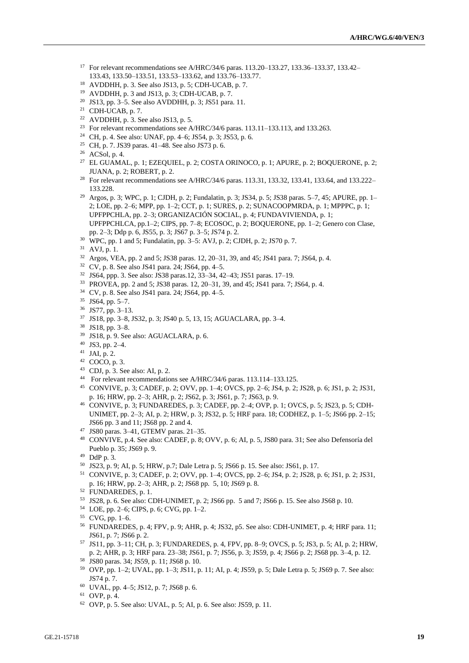- For relevant recommendations see A/HRC/34/6 paras. 113.20–133.27, 133.36–133.37, 133.42– 133.43, 133.50–133.51, 133.53–133.62, and 133.76–133.77.
- AVDDHH, p. 3. See also JS13, p. 5; CDH-UCAB, p. 7.
- AVDDHH, p. 3 and JS13, p. 3; CDH-UCAB, p. 7.
- JS13, pp. 3–5. See also AVDDHH, p. 3; JS51 para. 11.
- <sup>21</sup> CDH-UCAB, p. 7.
- <sup>22</sup> AVDDHH, p. 3. See also JS13, p. 5.
- <sup>23</sup> For relevant recommendations see A/HRC/34/6 paras. 113.11–133.113, and 133.263.
- CH, p. 4. See also: UNAF, pp. 4–6; JS54, p. 3; JS53, p. 6.
- CH, p. 7. JS39 paras. 41–48. See also JS73 p. 6.
- ACSol, p. 4.
- <sup>27</sup> EL GUAMAL, p. 1; EZEQUIEL, p. 2; COSTA ORINOCO, p. 1; APURE, p. 2; BOQUERONE, p. 2; JUANA, p. 2; ROBERT, p. 2.
- <sup>28</sup> For relevant recommendations see A/HRC/34/6 paras. 113.31, 133.32, 133.41, 133.64, and 133.222– 133.228.
- Argos, p. 3; WPC, p. 1; CJDH, p. 2; Fundalatin, p. 3; JS34, p. 5; JS38 paras. 5–7, 45; APURE, pp. 1– 2; LOE, pp. 2–6; MPP, pp. 1–2; CCT, p. 1; SURES, p. 2; SUNACOOPMRDA, p. 1; MPPPC, p. 1; UPFPPCHLA, pp. 2–3; ORGANIZACIÓN SOCIAL, p. 4; FUNDAVIVIENDA, p. 1; UPFPPCHLCA, pp.1–2; CIPS, pp. 7–8; ECOSOC, p. 2; BOQUERONE, pp. 1–2; Genero con Clase, pp. 2–3; Ddp p. 6, JS55, p. 3; JS67 p. 3–5; JS74 p. 2.
- WPC, pp. 1 and 5; Fundalatin, pp. 3–5: AVJ, p. 2; CJDH, p. 2; JS70 p. 7.
- AVJ, p. 1.
- Argos, VEA, pp. 2 and 5; JS38 paras. 12, 20–31, 39, and 45; JS41 para. 7; JS64, p. 4.
- CV, p. 8. See also JS41 para. 24; JS64, pp. 4–5.
- JS64, ppp. 3. See also: JS38 paras.12, 33–34, 42–43; JS51 paras. 17–19.
- PROVEA, pp. 2 and 5; JS38 paras. 12, 20–31, 39, and 45; JS41 para. 7; JS64, p. 4.
- CV, p. 8. See also JS41 para. 24; JS64, pp. 4–5.
- JS64, pp. 5–7.
- JS77, pp. 3–13.
- JS18, pp. 3–8, JS32, p. 3; JS40 p. 5, 13, 15; AGUACLARA, pp. 3–4.
- JS18, pp. 3–8.
- JS18, p. 9. See also: AGUACLARA, p. 6.
- JS3, pp. 2–4.
- JAI, p. 2.
- COCO, p. 3.
- CDJ, p. 3. See also: AI, p. 2.
- For relevant recommendations see A/HRC/34/6 paras. 113.114–133.125.
- CONVIVE, p. 3; CADEF, p. 2; OVV, pp. 1–4; OVCS, pp. 2–6; JS4, p. 2; JS28, p. 6; JS1, p. 2; JS31, p. 16; HRW, pp. 2–3; AHR, p. 2; JS62, p. 3; JS61, p. 7; JS63, p. 9.
- CONVIVE, p. 3; FUNDAREDES, p. 3; CADEF, pp. 2–4; OVP, p. 1; OVCS, p. 5; JS23, p. 5; CDH-UNIMET, pp. 2–3; AI, p. 2; HRW, p. 3; JS32, p. 5; HRF para. 18; CODHEZ, p. 1–5; JS66 pp. 2–15; JS66 pp. 3 and 11; JS68 pp. 2 and 4.
- JS80 paras. 3–41, GTEMV paras. 21–35.
- CONVIVE, p.4. See also: CADEF, p. 8; OVV, p. 6; AI, p. 5, JS80 para. 31; See also Defensoría del Pueblo p. 35; JS69 p. 9.
- DdP p. 3.
- JS23, p. 9; AI, p. 5; HRW, p.7; Dale Letra p. 5; JS66 p. 15. See also: JS61, p. 17.
- CONVIVE, p. 3; CADEF, p. 2; OVV, pp. 1–4; OVCS, pp. 2–6; JS4, p. 2; JS28, p. 6; JS1, p. 2; JS31, p. 16; HRW, pp. 2–3; AHR, p. 2; JS68 pp. 5, 10; JS69 p. 8.
- FUNDAREDES, p. 1.
- JS28, p. 6. See also: CDH-UNIMET, p. 2; JS66 pp. 5 and 7; JS66 p. 15. See also JS68 p. 10.
- LOE, pp. 2–6; CIPS, p. 6; CVG, pp. 1–2.
- CVG, pp. 1–6.
- FUNDAREDES, p. 4; FPV, p. 9; AHR, p. 4; JS32, p5. See also: CDH-UNIMET, p. 4; HRF para. 11; JS61, p. 7; JS66 p. 2.
- JS11, pp. 3–11; CH, p. 3; FUNDAREDES, p. 4, FPV, pp. 8–9; OVCS, p. 5; JS3, p. 5; AI, p. 2; HRW, p. 2; AHR, p. 3; HRF para. 23–38; JS61, p. 7; JS56, p. 3; JS59, p. 4; JS66 p. 2; JS68 pp. 3–4, p. 12.
- JS80 paras. 34; JS59, p. 11; JS68 p. 10.
- OVP, pp. 1–2; UVAL, pp. 1–3; JS11, p. 11; AI, p. 4; JS59, p. 5; Dale Letra p. 5; JS69 p. 7. See also: JS74 p. 7.
- UVAL, pp. 4–5; JS12, p. 7; JS68 p. 6.
- OVP, p. 4.
- OVP, p. 5. See also: UVAL, p. 5; AI, p. 6. See also: JS59, p. 11.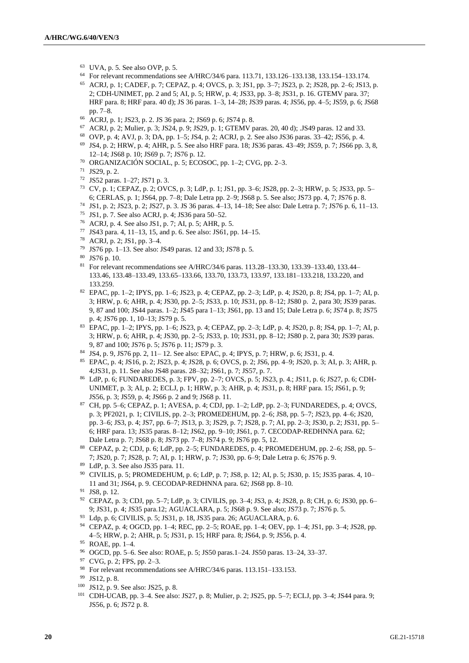- <sup>63</sup> UVA, p. 5. See also OVP, p. 5.
- <sup>64</sup> For relevant recommendations see A/HRC/34/6 para. 113.71, 133.126–133.138, 133.154–133.174.
- <sup>65</sup> ACRJ, p. 1; CADEF, p. 7; CEPAZ, p. 4; OVCS, p. 3; JS1, pp. 3–7; JS23, p. 2; JS28, pp. 2–6; JS13, p. 2; CDH-UNIMET, pp. 2 and 5; AI, p. 5; HRW, p. 4; JS33, pp. 3–8; JS31, p. 16. GTEMV para. 37; HRF para. 8; HRF para. 40 d); JS 36 paras. 1–3, 14–28; JS39 paras. 4; JS56, pp. 4–5; JS59, p. 6; JS68 pp. 7–8.
- <sup>66</sup> ACRJ, p. 1; JS23, p. 2. JS 36 para. 2; JS69 p. 6; JS74 p. 8.
- <sup>67</sup> ACRJ, p. 2; Mulier, p. 3; JS24, p. 9; JS29, p. 1; GTEMV paras. 20, 40 d); .JS49 paras. 12 and 33.
- <sup>68</sup> OVP, p. 4; AVJ, p. 3; DA, pp. 1–5; JS4, p. 2; ACRJ, p. 2. See also JS36 paras. 33–42; JS56, p. 4.
- <sup>69</sup> JS4, p. 2; HRW, p. 4; AHR, p. 5. See also HRF para. 18; JS36 paras. 43–49; JS59, p. 7; JS66 pp. 3, 8, 12–14; JS68 p. 10; JS69 p. 7; JS76 p. 12.
- <sup>70</sup> ORGANIZACIÓN SOCIAL, p. 5; ECOSOC, pp. 1–2; CVG, pp. 2–3.
- <sup>71</sup> JS29, p. 2.
- <sup>72</sup> JS52 paras. 1–27; JS71 p. 3.
- <sup>73</sup> CV, p. 1; CEPAZ, p. 2; OVCS, p. 3; LdP, p. 1; JS1, pp. 3–6; JS28, pp. 2–3; HRW, p. 5; JS33, pp. 5– 6; CERLAS, p. 1; JS64, pp. 7–8; Dale Letra pp. 2–9; JS68 p. 5. See also; JS73 pp. 4, 7; JS76 p. 8.
- <sup>74</sup> JS1, p. 2; JS23, p. 2; JS27, p. 3. JS 36 paras. 4–13, 14–18; See also: Dale Letra p. 7; JS76 p. 6, 11–13.
- <sup>75</sup> JS1, p. 7. See also ACRJ, p. 4; JS36 para 50–52.
- <sup>76</sup> ACRJ, p. 4. See also JS1, p. 7; AI, p. 5; AHR, p. 5.
- <sup>77</sup> JS43 para. 4, 11–13, 15, and p. 6. See also: JS61, pp. 14–15.
- <sup>78</sup> ACRJ, p. 2; JS1, pp. 3–4.
- <sup>79</sup> JS76 pp. 1–13. See also: JS49 paras. 12 and 33; JS78 p. 5.
- <sup>80</sup> JS76 p. 10.
- <sup>81</sup> For relevant recommendations see A/HRC/34/6 paras. 113.28–133.30, 133.39–133.40, 133.44– 133.46, 133.48–133.49, 133.65–133.66, 133.70, 133.73, 133.97, 133.181–133.218, 133.220, and 133.259.
- <sup>82</sup> EPAC, pp. 1–2; IPYS, pp. 1–6; JS23, p. 4; CEPAZ, pp. 2–3; LdP, p. 4; JS20, p. 8; JS4, pp. 1–7; AI, p. 3; HRW, p. 6; AHR, p. 4; JS30, pp. 2–5; JS33, p. 10; JS31, pp. 8–12; JS80 p. 2, para 30; JS39 paras. 9, 87 and 100; JS44 paras. 1–2; JS45 para 1–13; JS61, pp. 13 and 15; Dale Letra p. 6; JS74 p. 8; JS75 p. 4; JS76 pp. 1, 10–13; JS79 p. 5.
- <sup>83</sup> EPAC, pp. 1–2; IPYS, pp. 1–6; JS23, p. 4; CEPAZ, pp. 2–3; LdP, p. 4; JS20, p. 8; JS4, pp. 1–7; AI, p. 3; HRW, p. 6; AHR, p. 4; JS30, pp. 2–5; JS33, p. 10; JS31, pp. 8–12; JS80 p. 2, para 30; JS39 paras. 9, 87 and 100; JS76 p. 5; JS76 p. 11; JS79 p. 3.
- <sup>84</sup> JS4, p. 9, JS76 pp. 2, 11– 12. See also: EPAC, p. 4; IPYS, p. 7; HRW, p. 6; JS31, p. 4.
- <sup>85</sup> EPAC, p. 4; JS16, p. 2; JS23, p. 4; JS28, p. 6; OVCS, p. 2; JS6, pp. 4–9; JS20, p. 3; AI, p. 3; AHR, p. 4;JS31, p. 11. See also JS48 paras. 28–32; JS61, p. 7; JS57, p. 7.
- <sup>86</sup> LdP, p. 6; FUNDAREDES, p. 3; FPV, pp. 2–7; OVCS, p. 5; JS23, p. 4.; JS11, p. 6; JS27, p. 6; CDH-UNIMET, p. 3; AI, p. 2; ECLJ, p. 1; HRW, p. 3; AHR, p. 4; JS31, p. 8; HRF para. 15; JS61, p. 9; JS56, p. 3; JS59, p. 4; JS66 p. 2 and 9; JS68 p. 11.
- <sup>87</sup> CH, pp. 5–6; CEPAZ, p. 1; AVESA, p. 4; CDJ, pp. 1–2; LdP, pp. 2–3; FUNDAREDES, p. 4; OVCS, p. 3; PF2021, p. 1; CIVILIS, pp. 2–3; PROMEDEHUM, pp. 2–6; JS8, pp. 5–7; JS23, pp. 4–6; JS20, pp. 3–6; JS3, p. 4; JS7, pp. 6–7; JS13, p. 3; JS29, p. 7; JS28, p. 7; AI, pp. 2–3; JS30, p. 2; JS31, pp. 5– 6; HRF para. 13; JS35 paras. 8–12; JS62, pp. 9–10; JS61, p. 7. CECODAP-REDHNNA para. 62; Dale Letra p. 7; JS68 p. 8; JS73 pp. 7–8; JS74 p. 9; JS76 pp. 5, 12.
- <sup>88</sup> CEPAZ, p. 2; CDJ, p. 6; LdP, pp. 2–5; FUNDAREDES, p. 4; PROMEDEHUM, pp. 2–6; JS8, pp. 5– 7; JS20, p. 7; JS28, p. 7; AI, p. 1; HRW, p. 7; JS30, pp. 6–9; Dale Letra p. 6; JS76 p. 9.
- <sup>89</sup> LdP, p. 3. See also JS35 para. 11.
- <sup>90</sup> CIVILIS, p. 5; PROMEDEHUM, p. 6; LdP, p. 7; JS8, p. 12; AI, p. 5; JS30, p. 15; JS35 paras. 4, 10– 11 and 31; JS64, p. 9. CECODAP-REDHNNA para. 62; JS68 pp. 8–10.
- <sup>91</sup> JS8, p. 12.
- <sup>92</sup> CEPAZ, p. 3; CDJ, pp. 5–7; LdP, p. 3; CIVILIS, pp. 3–4; JS3, p. 4; JS28, p. 8; CH, p. 6; JS30, pp. 6– 9; JS31, p. 4; JS35 para.12; AGUACLARA, p. 5; JS68 p. 9. See also; JS73 p. 7; JS76 p. 5.
- <sup>93</sup> Ldp, p. 6; CIVILIS, p. 5; JS31, p. 18, JS35 para. 26; AGUACLARA, p. 6.
- <sup>94</sup> CEPAZ, p. 4; OGCD, pp. 1–4; REC, pp. 2–5; ROAE, pp. 1–4; OEV, pp. 1–4; JS1, pp. 3–4; JS28, pp. 4–5; HRW, p. 2; AHR, p. 5; JS31, p. 15; HRF para. 8; JS64, p. 9; JS56, p. 4.

- <sup>96</sup> OGCD, pp. 5–6. See also: ROAE, p. 5; JS50 paras.1–24. JS50 paras. 13–24, 33–37.
- <sup>97</sup> CVG, p. 2; FPS, pp. 2–3.
- <sup>98</sup> For relevant recommendations see A/HRC/34/6 paras. 113.151-133.153.

- <sup>100</sup> JS12, p. 9. See also: JS25, p. 8.
- <sup>101</sup> CDH-UCAB, pp. 3–4. See also: JS27, p. 8; Mulier, p. 2; JS25, pp. 5–7; ECLJ, pp. 3–4; JS44 para. 9; JS56, p. 6; JS72 p. 8.

<sup>95</sup> ROAE, pp. 1–4.

<sup>99</sup> JS12, p. 8.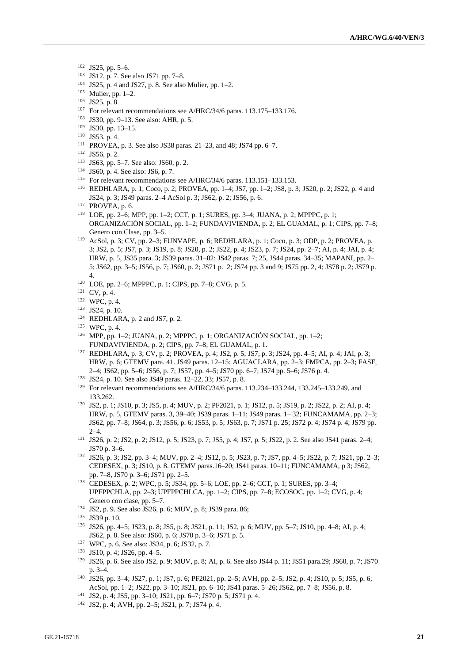- JS25, pp. 5–6.
- JS12, p. 7. See also JS71 pp. 7–8.
- JS25, p. 4 and JS27, p. 8. See also Mulier, pp. 1–2.
- Mulier, pp. 1–2.
- JS25, p. 8
- For relevant recommendations see A/HRC/34/6 paras. 113.175–133.176.
- JS30, pp. 9–13. See also: AHR, p. 5.
- JS30, pp. 13–15.
- JS53, p. 4.
- PROVEA, p. 3. See also JS38 paras. 21–23, and 48; JS74 pp. 6–7.
- JS56, p. 2.
- JS63, pp. 5–7. See also: JS60, p. 2.
- JS60, p. 4. See also: JS6, p. 7.
- For relevant recommendations see A/HRC/34/6 paras. 113.151–133.153.
- REDHLARA, p. 1; Coco, p. 2; PROVEA, pp. 1–4; JS7, pp. 1–2; JS8, p. 3; JS20, p. 2; JS22, p. 4 and JS24, p. 3; JS49 paras. 2–4 AcSol p. 3; JS62, p. 2; JS56, p. 6.
- PROVEA, p. 6.
- LOE, pp. 2–6; MPP, pp. 1–2; CCT, p. 1; SURES, pp. 3–4; JUANA, p. 2; MPPPC, p. 1; ORGANIZACIÓN SOCIAL, pp. 1–2; FUNDAVIVIENDA, p. 2; EL GUAMAL, p. 1; CIPS, pp. 7–8; Genero con Clase, pp. 3–5.
- AcSol, p. 3; CV, pp. 2–3; FUNVAPE, p. 6; REDHLARA, p. 1; Coco, p. 3; ODP, p. 2; PROVEA, p. 3; JS2, p. 5; JS7, p. 3; JS19, p. 8; JS20, p. 2; JS22, p. 4; JS23, p. 7; JS24, pp. 2–7; AI, p. 4; JAI, p. 4; HRW, p. 5, JS35 para. 3; JS39 paras. 31–82; JS42 paras. 7; 25, JS44 paras. 34–35; MAPANI, pp. 2– 5; JS62, pp. 3–5; JS56, p. 7; JS60, p. 2; JS71 p. 2; JS74 pp. 3 and 9; JS75 pp. 2, 4; JS78 p. 2; JS79 p. 4.
- LOE, pp. 2–6; MPPPC, p. 1; CIPS, pp. 7–8; CVG, p. 5.
- CV, p. 4.
- WPC, p. 4.
- JS24, p. 10.
- REDHLARA, p. 2 and JS7, p. 2.
- WPC, p. 4.
- MPP, pp. 1–2; JUANA, p. 2; MPPPC, p. 1; ORGANIZACIÓN SOCIAL, pp. 1–2; FUNDAVIVIENDA, p. 2; CIPS, pp. 7–8; EL GUAMAL, p. 1.
- REDHLARA, p. 3; CV, p. 2; PROVEA, p. 4; JS2, p. 5; JS7, p. 3; JS24, pp. 4–5; AI, p. 4; JAI, p. 3; HRW, p. 6; GTEMV para. 41. JS49 paras. 12–15; AGUACLARA, pp. 2–3; FMPCA, pp. 2–3; FASF, 2–4; JS62, pp. 5–6; JS56, p. 7; JS57, pp. 4–5; JS70 pp. 6–7; JS74 pp. 5–6; JS76 p. 4.
- JS24, p. 10. See also JS49 paras. 12–22, 33; JS57, p. 8.
- For relevant recommendations see A/HRC/34/6 paras. 113.234–133.244, 133.245–133.249, and 133.262.
- JS2, p. 1; JS10, p. 3; JS5, p. 4; MUV, p. 2; PF2021, p. 1; JS12, p. 5; JS19, p. 2; JS22, p. 2; AI, p. 4; HRW, p. 5, GTEMV paras. 3, 39–40; JS39 paras. 1–11; JS49 paras. 1– 32; FUNCAMAMA, pp. 2–3; JS62, pp. 7–8; JS64, p. 3; JS56, p. 6; JS53, p. 5; JS63, p. 7; JS71 p. 25; JS72 p. 4; JS74 p. 4; JS79 pp.  $2 - 4$
- JS26, p. 2; JS2, p. 2; JS12, p. 5; JS23, p. 7; JS5, p. 4; JS7, p. 5; JS22, p. 2. See also JS41 paras. 2–4; JS70 p. 3–6.
- JS26, p. 3; JS2, pp. 3–4; MUV, pp. 2–4; JS12, p. 5; JS23, p. 7; JS7, pp. 4–5; JS22, p. 7; JS21, pp. 2–3; CEDESEX, p. 3; JS10, p. 8. GTEMV paras.16–20; JS41 paras. 10–11; FUNCAMAMA, p 3; JS62, pp. 7–8, JS70 p. 3–6; JS71 pp. 2–5.
- CEDESEX, p. 2; WPC, p. 5; JS34, pp. 5–6; LOE, pp. 2–6; CCT, p. 1; SURES, pp. 3–4; UPFPPCHLA, pp. 2–3; UPFPPCHLCA, pp. 1–2; CIPS, pp. 7–8; ECOSOC, pp. 1–2; CVG, p. 4; Genero con clase, pp. 5–7.
- JS2, p. 9. See also JS26, p. 6; MUV, p. 8; JS39 para. 86;
- JS39 p. 10.
- JS26, pp. 4–5; JS23, p. 8; JS5, p. 8; JS21, p. 11; JS2, p. 6; MUV, pp. 5–7; JS10, pp. 4–8; AI, p. 4; JS62, p. 8. See also: JS60, p. 6; JS70 p. 3–6; JS71 p. 5.
- WPC, p. 6. See also: JS34, p. 6; JS32, p. 7.
- JS10, p. 4; JS26, pp. 4–5.
- JS26, p. 6. See also JS2, p. 9; MUV, p. 8; AI, p. 6. See also JS44 p. 11; JS51 para.29; JS60, p. 7; JS70 p. 3–4.
- JS26, pp. 3–4; JS27, p. 1; JS7, p. 6; PF2021, pp. 2–5; AVH, pp. 2–5; JS2, p. 4; JS10, p. 5; JS5, p. 6; AcSol, pp. 1–2; JS22, pp. 3–10; JS21, pp. 6–10; JS41 paras. 5–26; JS62, pp. 7–8; JS56, p. 8.
- JS2, p. 4; JS5, pp. 3–10; JS21, pp. 6–7; JS70 p. 5; JS71 p. 4.
- JS2, p. 4; AVH, pp. 2–5; JS21, p. 7; JS74 p. 4.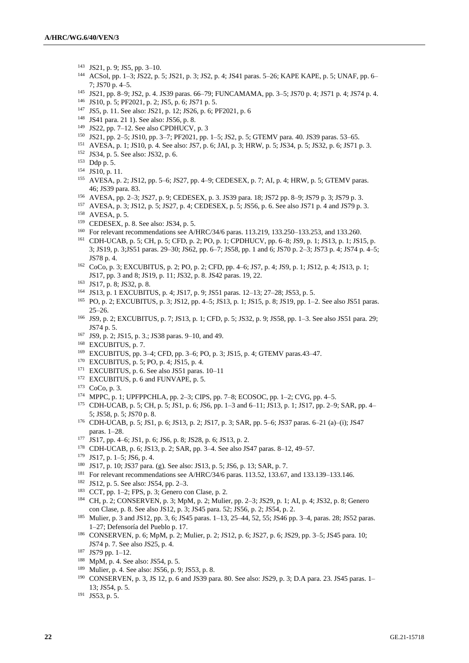- JS21, p. 9; JS5, pp. 3–10.
- ACSol, pp. 1–3; JS22, p. 5; JS21, p. 3; JS2, p. 4; JS41 paras. 5–26; KAPE KAPE, p. 5; UNAF, pp. 6– 7; JS70 p. 4–5.
- JS21, pp. 8–9; JS2, p. 4. JS39 paras. 66–79; FUNCAMAMA, pp. 3–5; JS70 p. 4; JS71 p. 4; JS74 p. 4.
- JS10, p. 5; PF2021, p. 2; JS5, p. 6; JS71 p. 5.
- JS5, p. 11. See also: JS21, p. 12; JS26, p. 6; PF2021, p. 6
- JS41 para. 21 1). See also: JS56, p. 8.
- JS22, pp. 7–12. See also CPDHUCV, p. 3
- JS21, pp. 2–5; JS10, pp. 3–7; PF2021, pp. 1–5; JS2, p. 5; GTEMV para. 40. JS39 paras. 53–65.
- AVESA, p. 1; JS10, p. 4. See also: JS7, p. 6; JAI, p. 3; HRW, p. 5; JS34, p. 5; JS32, p. 6; JS71 p. 3.
- JS34, p. 5. See also: JS32, p. 6.
- Ddp p. 5.
- JS10, p. 11.
- AVESA, p. 2; JS12, pp. 5–6; JS27, pp. 4–9; CEDESEX, p. 7; AI, p. 4; HRW, p. 5; GTEMV paras. 46; JS39 para. 83.
- AVESA, pp. 2–3; JS27, p. 9; CEDESEX, p. 3. JS39 para. 18; JS72 pp. 8–9; JS79 p. 3; JS79 p. 3.
- AVESA, p. 3; JS12, p. 5; JS27, p. 4; CEDESEX, p. 5; JS56, p. 6. See also JS71 p. 4 and JS79 p. 3.
- AVESA, p. 5.
- CEDESEX, p. 8. See also: JS34, p. 5.
- For relevant recommendations see A/HRC/34/6 paras. 113.219, 133.250–133.253, and 133.260.
- CDH-UCAB, p. 5; CH, p. 5; CFD, p. 2; PO, p. 1; CPDHUCV, pp. 6–8; JS9, p. 1; JS13, p. 1; JS15, p. 3; JS19, p. 3;JS51 paras. 29–30; JS62, pp. 6–7; JS58, pp. 1 and 6; JS70 p. 2–3; JS73 p. 4; JS74 p. 4–5; JS78 p. 4.
- CoCo, p. 3; EXCUBITUS, p. 2; PO, p. 2; CFD, pp. 4–6; JS7, p. 4; JS9, p. 1; JS12, p. 4; JS13, p. 1; JS17, pp. 3 and 8; JS19, p. 11; JS32, p. 8. JS42 paras. 19, 22.
- JS17, p. 8; JS32, p. 8.
- JS13, p. 1 EXCUBITUS, p. 4; JS17, p. 9; JS51 paras. 12–13; 27–28; JS53, p. 5.
- PO, p. 2; EXCUBITUS, p. 3; JS12, pp. 4–5; JS13, p. 1; JS15, p. 8; JS19, pp. 1–2. See also JS51 paras. 25–26.
- JS9, p. 2; EXCUBITUS, p. 7; JS13, p. 1; CFD, p. 5; JS32, p. 9; JS58, pp. 1–3. See also JS51 para. 29; JS74 p. 5.
- JS9, p. 2; JS15, p. 3.; JS38 paras. 9–10, and 49.
- <sup>168</sup> EXCUBITUS, p. 7.
- EXCUBITUS, pp. 3–4; CFD, pp. 3–6; PO, p. 3; JS15, p. 4; GTEMV paras.43–47.
- EXCUBITUS, p. 5; PO, p. 4; JS15, p. 4.
- EXCUBITUS, p. 6. See also JS51 paras. 10–11
- <sup>172</sup> EXCUBITUS, p. 6 and FUNVAPE, p. 5.
- CoCo, p. 3.
- MPPC, p. 1; UPFPPCHLA, pp. 2–3; CIPS, pp. 7–8; ECOSOC, pp. 1–2; CVG, pp. 4–5.
- CDH-UCAB, p. 5; CH, p. 5; JS1, p. 6; JS6, pp. 1–3 and 6–11; JS13, p. 1; JS17, pp. 2–9; SAR, pp. 4– 5; JS58, p. 5; JS70 p. 8.
- CDH-UCAB, p. 5; JS1, p. 6; JS13, p. 2; JS17, p. 3; SAR, pp. 5–6; JS37 paras. 6–21 (a)–(i); JS47 paras. 1–28.
- JS17, pp. 4–6; JS1, p. 6; JS6, p. 8; JS28, p. 6; JS13, p. 2.
- CDH-UCAB, p. 6; JS13, p. 2; SAR, pp. 3–4. See also JS47 paras. 8–12, 49–57.
- JS17, p. 1–5; JS6, p. 4.
- JS17, p. 10; JS37 para. (g). See also: JS13, p. 5; JS6, p. 13; SAR, p. 7.
- For relevant recommendations see A/HRC/34/6 paras. 113.52, 133.67, and 133.139–133.146.
- JS12, p. 5. See also: JS54, pp. 2–3.
- CCT, pp. 1–2; FPS, p. 3; Genero con Clase, p. 2.
- CH, p. 2; CONSERVEN, p. 3; MpM, p. 2; Mulier, pp. 2–3; JS29, p. 1; AI, p. 4; JS32, p. 8; Genero con Clase, p. 8. See also JS12, p. 3; JS45 para. 52; JS56, p. 2; JS54, p. 2.
- Mulier, p. 3 and JS12, pp. 3, 6; JS45 paras. 1–13, 25–44, 52, 55; JS46 pp. 3–4, paras. 28; JS52 paras. 1–27; Defensoría del Pueblo p. 17.
- CONSERVEN, p. 6; MpM, p. 2; Mulier, p. 2; JS12, p. 6; JS27, p. 6; JS29, pp. 3–5; JS45 para. 10; JS74 p. 7. See also JS25, p. 4.
- JS79 pp. 1–12.
- MpM, p. 4. See also: JS54, p. 5.
- Mulier, p. 4. See also: JS56, p. 9; JS53, p. 8.
- CONSERVEN, p. 3, JS 12, p. 6 and JS39 para. 80. See also: JS29, p. 3; D.A para. 23. JS45 paras. 1– 13; JS54, p. 5.
- JS53, p. 5.